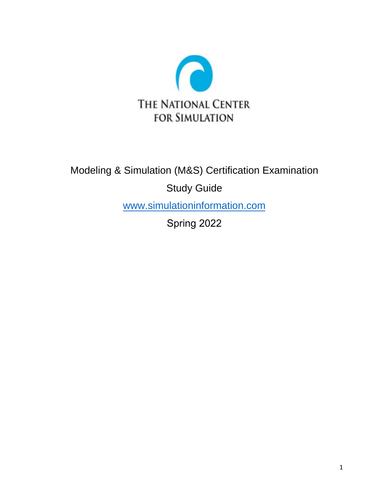

# Modeling & Simulation (M&S) Certification Examination

Study Guide

[www.simulationinformation.com](http://www.simulationinformation.com/)

Spring 2022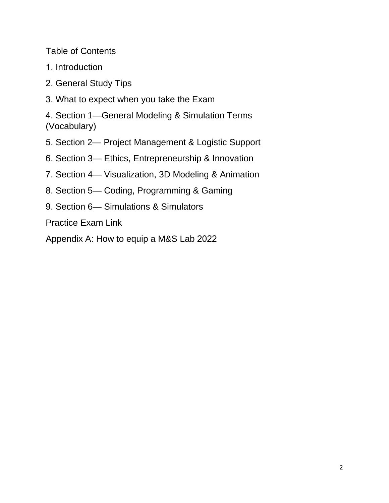Table of Contents

- 1. Introduction
- 2. General Study Tips
- 3. What to expect when you take the Exam

4. Section 1—General Modeling & Simulation Terms (Vocabulary)

- 5. Section 2— Project Management & Logistic Support
- 6. Section 3— Ethics, Entrepreneurship & Innovation
- 7. Section 4— Visualization, 3D Modeling & Animation
- 8. Section 5— Coding, Programming & Gaming
- 9. Section 6— Simulations & Simulators

Practice Exam Link

Appendix A: How to equip a M&S Lab 2022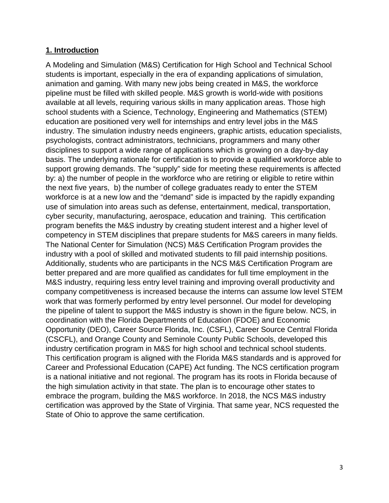### **1. Introduction**

A Modeling and Simulation (M&S) Certification for High School and Technical School students is important, especially in the era of expanding applications of simulation, animation and gaming. With many new jobs being created in M&S, the workforce pipeline must be filled with skilled people. M&S growth is world-wide with positions available at all levels, requiring various skills in many application areas. Those high school students with a Science, Technology, Engineering and Mathematics (STEM) education are positioned very well for internships and entry level jobs in the M&S industry. The simulation industry needs engineers, graphic artists, education specialists, psychologists, contract administrators, technicians, programmers and many other disciplines to support a wide range of applications which is growing on a day-by-day basis. The underlying rationale for certification is to provide a qualified workforce able to support growing demands. The "supply" side for meeting these requirements is affected by: a) the number of people in the workforce who are retiring or eligible to retire within the next five years, b) the number of college graduates ready to enter the STEM workforce is at a new low and the "demand" side is impacted by the rapidly expanding use of simulation into areas such as defense, entertainment, medical, transportation, cyber security, manufacturing, aerospace, education and training. This certification program benefits the M&S industry by creating student interest and a higher level of competency in STEM disciplines that prepare students for M&S careers in many fields. The National Center for Simulation (NCS) M&S Certification Program provides the industry with a pool of skilled and motivated students to fill paid internship positions. Additionally, students who are participants in the NCS M&S Certification Program are better prepared and are more qualified as candidates for full time employment in the M&S industry, requiring less entry level training and improving overall productivity and company competitiveness is increased because the interns can assume low level STEM work that was formerly performed by entry level personnel. Our model for developing the pipeline of talent to support the M&S industry is shown in the figure below. NCS, in coordination with the Florida Departments of Education (FDOE) and Economic Opportunity (DEO), Career Source Florida, Inc. (CSFL), Career Source Central Florida (CSCFL), and Orange County and Seminole County Public Schools, developed this industry certification program in M&S for high school and technical school students. This certification program is aligned with the Florida M&S standards and is approved for Career and Professional Education (CAPE) Act funding. The NCS certification program is a national initiative and not regional. The program has its roots in Florida because of the high simulation activity in that state. The plan is to encourage other states to embrace the program, building the M&S workforce. In 2018, the NCS M&S industry certification was approved by the State of Virginia. That same year, NCS requested the State of Ohio to approve the same certification.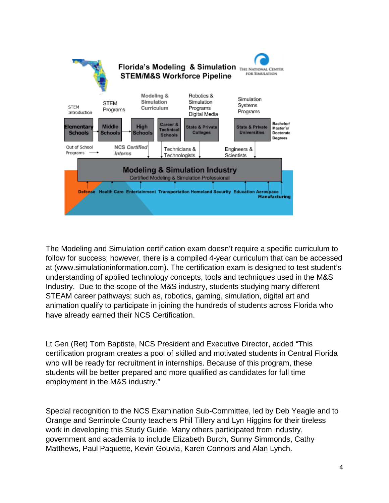

The Modeling and Simulation certification exam doesn't require a specific curriculum to follow for success; however, there is a compiled 4-year curriculum that can be accessed at (www.simulationinformation.com). The certification exam is designed to test student's understanding of applied technology concepts, tools and techniques used in the M&S Industry. Due to the scope of the M&S industry, students studying many different STEAM career pathways; such as, robotics, gaming, simulation, digital art and animation qualify to participate in joining the hundreds of students across Florida who have already earned their NCS Certification.

Lt Gen (Ret) Tom Baptiste, NCS President and Executive Director, added "This certification program creates a pool of skilled and motivated students in Central Florida who will be ready for recruitment in internships. Because of this program, these students will be better prepared and more qualified as candidates for full time employment in the M&S industry."

Special recognition to the NCS Examination Sub-Committee, led by Deb Yeagle and to Orange and Seminole County teachers Phil Tillery and Lyn Higgins for their tireless work in developing this Study Guide. Many others participated from industry, government and academia to include Elizabeth Burch, Sunny Simmonds, Cathy Matthews, Paul Paquette, Kevin Gouvia, Karen Connors and Alan Lynch.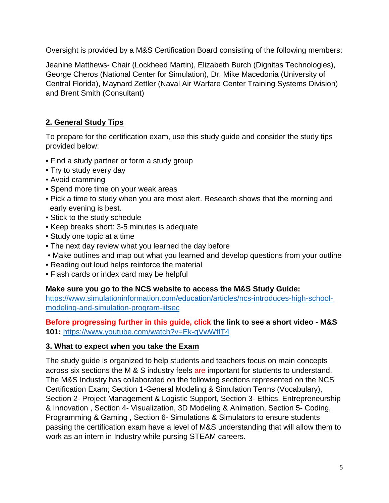Oversight is provided by a M&S Certification Board consisting of the following members:

Jeanine Matthews- Chair (Lockheed Martin), Elizabeth Burch (Dignitas Technologies), George Cheros (National Center for Simulation), Dr. Mike Macedonia (University of Central Florida), Maynard Zettler (Naval Air Warfare Center Training Systems Division) and Brent Smith (Consultant)

### **2. General Study Tips**

To prepare for the certification exam, use this study guide and consider the study tips provided below:

- Find a study partner or form a study group
- Try to study every day
- Avoid cramming
- Spend more time on your weak areas
- Pick a time to study when you are most alert. Research shows that the morning and early evening is best.
- Stick to the study schedule
- Keep breaks short: 3-5 minutes is adequate
- Study one topic at a time
- The next day review what you learned the day before
- Make outlines and map out what you learned and develop questions from your outline
- Reading out loud helps reinforce the material
- Flash cards or index card may be helpful

**Make sure you go to the NCS website to access the M&S Study Guide:**

[https://www.simulationinformation.com/education/articles/ncs-introduces-high-school](https://www.simulationinformation.com/education/articles/ncs-introduces-high-school-modeling-and-simulation-program-iitsec)[modeling-and-simulation-program-iitsec](https://www.simulationinformation.com/education/articles/ncs-introduces-high-school-modeling-and-simulation-program-iitsec)

### **Before progressing further in this guide, click the link to see a short video - M&S 101:** <https://www.youtube.com/watch?v=Ek-gVwWfIT4>

### **3. What to expect when you take the Exam**

The study guide is organized to help students and teachers focus on main concepts across six sections the M & S industry feels are important for students to understand. The M&S Industry has collaborated on the following sections represented on the NCS Certification Exam; Section 1-General Modeling & Simulation Terms (Vocabulary), Section 2- Project Management & Logistic Support, Section 3- Ethics, Entrepreneurship & Innovation , Section 4- Visualization, 3D Modeling & Animation, Section 5- Coding, Programming & Gaming , Section 6- Simulations & Simulators to ensure students passing the certification exam have a level of M&S understanding that will allow them to work as an intern in Industry while pursing STEAM careers.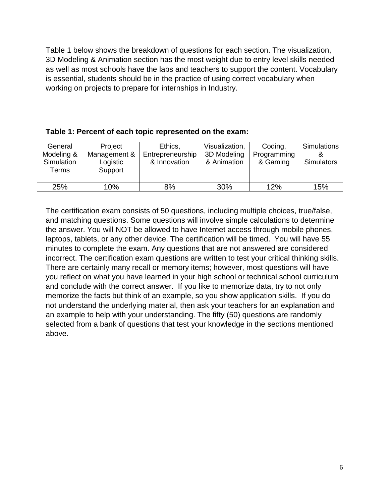Table 1 below shows the breakdown of questions for each section. The visualization, 3D Modeling & Animation section has the most weight due to entry level skills needed as well as most schools have the labs and teachers to support the content. Vocabulary is essential, students should be in the practice of using correct vocabulary when working on projects to prepare for internships in Industry.

### **Table 1: Percent of each topic represented on the exam:**

| General<br>Modeling &<br>Simulation<br>Terms | Project<br>Management &<br>Logistic<br>Support | Ethics,<br>Entrepreneurship<br>& Innovation | Visualization,<br>3D Modeling<br>& Animation | Coding,<br>Programming<br>& Gaming | Simulations<br><b>Simulators</b> |
|----------------------------------------------|------------------------------------------------|---------------------------------------------|----------------------------------------------|------------------------------------|----------------------------------|
| 25%                                          | 10%                                            | 8%                                          | 30%                                          | 12%                                | 15%                              |

The certification exam consists of 50 questions, including multiple choices, true/false, and matching questions. Some questions will involve simple calculations to determine the answer. You will NOT be allowed to have Internet access through mobile phones, laptops, tablets, or any other device. The certification will be timed. You will have 55 minutes to complete the exam. Any questions that are not answered are considered incorrect. The certification exam questions are written to test your critical thinking skills. There are certainly many recall or memory items; however, most questions will have you reflect on what you have learned in your high school or technical school curriculum and conclude with the correct answer. If you like to memorize data, try to not only memorize the facts but think of an example, so you show application skills. If you do not understand the underlying material, then ask your teachers for an explanation and an example to help with your understanding. The fifty (50) questions are randomly selected from a bank of questions that test your knowledge in the sections mentioned above.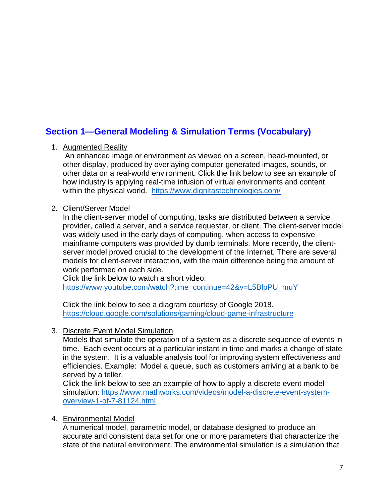# **Section 1—General Modeling & Simulation Terms (Vocabulary)**

### 1. Augmented Reality

An enhanced image or environment as viewed on a screen, head-mounted, or other display, produced by overlaying computer-generated images, sounds, or other data on a real-world environment. Click the link below to see an example of how industry is applying real-time infusion of virtual environments and content within the physical world.<https://www.dignitastechnologies.com/>

### 2. Client/Server Model

In the client-server model of computing, tasks are distributed between a service provider, called a server, and a service requester, or client. The client-server model was widely used in the early days of computing, when access to expensive mainframe computers was provided by dumb terminals. More recently, the clientserver model proved crucial to the development of the Internet. There are several models for client-server interaction, with the main difference being the amount of work performed on each side.

Click the link below to watch a short video: [https://www.youtube.com/watch?time\\_continue=42&v=L5BlpPU\\_muY](https://www.youtube.com/watch?time_continue=42&v=L5BlpPU_muY)

Click the link below to see a diagram courtesy of Google 2018. <https://cloud.google.com/solutions/gaming/cloud-game-infrastructure>

### 3. Discrete Event Model Simulation

Models that simulate the operation of a system as a discrete sequence of events in time. Each event occurs at a particular instant in time and marks a change of state in the system. It is a valuable analysis tool for improving system effectiveness and efficiencies. Example: Model a queue, such as customers arriving at a bank to be served by a teller.

Click the link below to see an example of how to apply a discrete event model simulation: [https://www.mathworks.com/videos/model-a-discrete-event-system](https://www.mathworks.com/videos/model-a-discrete-event-system-overview-1-of-7-81124.html)[overview-1-of-7-81124.html](https://www.mathworks.com/videos/model-a-discrete-event-system-overview-1-of-7-81124.html)

### 4. Environmental Model

A numerical model, parametric model, or database designed to produce an accurate and consistent data set for one or more parameters that characterize the state of the natural environment. The environmental simulation is a simulation that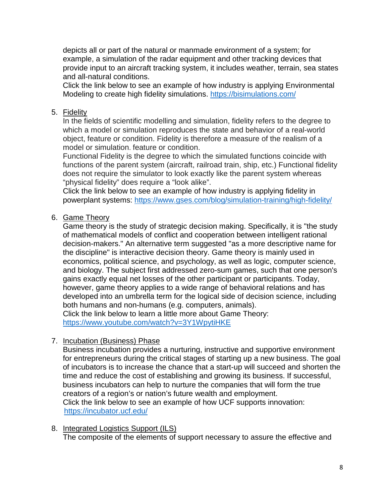depicts all or part of the natural or manmade environment of a system; for example, a simulation of the radar equipment and other tracking devices that provide input to an aircraft tracking system, it includes weather, terrain, sea states and all-natural conditions.

Click the link below to see an example of how industry is applying Environmental Modeling to create high fidelity simulations.<https://bisimulations.com/>

### 5. Fidelity

In the fields of scientific modelling and simulation, fidelity refers to the degree to which a model or simulation reproduces the state and behavior of a real-world object, feature or condition. Fidelity is therefore a measure of the realism of a model or simulation. feature or condition.

Functional Fidelity is the degree to which the simulated functions coincide with functions of the parent system (aircraft, railroad train, ship, etc.) Functional fidelity does not require the simulator to look exactly like the parent system whereas "physical fidelity" does require a "look alike".

Click the link below to see an example of how industry is applying fidelity in powerplant systems:<https://www.gses.com/blog/simulation-training/high-fidelity/>

### 6. Game Theory

Game theory is the study of strategic decision making. Specifically, it is "the study of mathematical models of conflict and cooperation between intelligent rational decision-makers." An alternative term suggested "as a more descriptive name for the discipline" is interactive decision theory. Game theory is mainly used in economics, political science, and psychology, as well as logic, computer science, and biology. The subject first addressed zero-sum games, such that one person's gains exactly equal net losses of the other participant or participants. Today, however, game theory applies to a wide range of behavioral relations and has developed into an umbrella term for the logical side of decision science, including both humans and non-humans (e.g. computers, animals). Click the link below to learn a little more about Game Theory:

<https://www.youtube.com/watch?v=3Y1WpytiHKE>

7. Incubation (Business) Phase

Business incubation provides a nurturing, instructive and supportive environment for entrepreneurs during the critical stages of starting up a new business. The goal of incubators is to increase the chance that a start-up will succeed and shorten the time and reduce the cost of establishing and growing its business. If successful, business incubators can help to nurture the companies that will form the true creators of a region's or nation's future wealth and employment. Click the link below to see an example of how UCF supports innovation: <https://incubator.ucf.edu/>

8. Integrated Logistics Support (ILS) The composite of the elements of support necessary to assure the effective and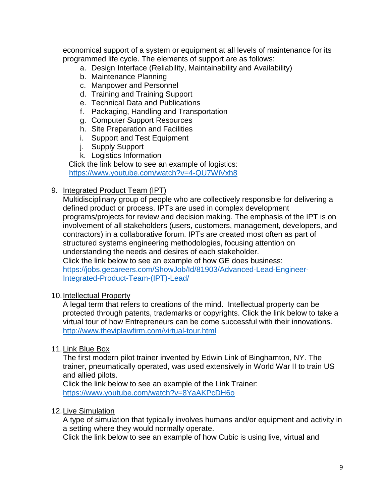economical support of a system or equipment at all levels of maintenance for its programmed life cycle. The elements of support are as follows:

- a. Design Interface (Reliability, Maintainability and Availability)
- b. Maintenance Planning
- c. Manpower and Personnel
- d. Training and Training Support
- e. Technical Data and Publications
- f. Packaging, Handling and Transportation
- g. Computer Support Resources
- h. Site Preparation and Facilities
- i. Support and Test Equipment
- j. Supply Support
- k. Logistics Information

Click the link below to see an example of logistics:

<https://www.youtube.com/watch?v=4-QU7WiVxh8>

### 9. Integrated Product Team (IPT)

Multidisciplinary group of people who are collectively responsible for delivering a defined product or process. IPTs are used in complex development programs/projects for review and decision making. The emphasis of the IPT is on involvement of all stakeholders (users, customers, management, developers, and contractors) in a collaborative forum. IPTs are created most often as part of structured systems engineering methodologies, focusing attention on understanding the needs and desires of each stakeholder. Click the link below to see an example of how GE does business:

[https://jobs.gecareers.com/ShowJob/Id/81903/Advanced-Lead-Engineer-](https://jobs.gecareers.com/ShowJob/Id/81903/Advanced-Lead-Engineer-Integrated-Product-Team-(IPT)-Lead/)[Integrated-Product-Team-\(IPT\)-Lead/](https://jobs.gecareers.com/ShowJob/Id/81903/Advanced-Lead-Engineer-Integrated-Product-Team-(IPT)-Lead/)

### 10.Intellectual Property

A legal term that refers to creations of the mind. Intellectual property can be protected through patents, trademarks or copyrights. Click the link below to take a virtual tour of how Entrepreneurs can be come successful with their innovations. <http://www.theviplawfirm.com/virtual-tour.html>

### 11. Link Blue Box

The first modern pilot trainer invented by Edwin Link of Binghamton, NY. The trainer, pneumatically operated, was used extensively in World War II to train US and allied pilots.

Click the link below to see an example of the Link Trainer: <https://www.youtube.com/watch?v=8YaAKPcDH6o>

### 12.Live Simulation

A type of simulation that typically involves humans and/or equipment and activity in a setting where they would normally operate.

Click the link below to see an example of how Cubic is using live, virtual and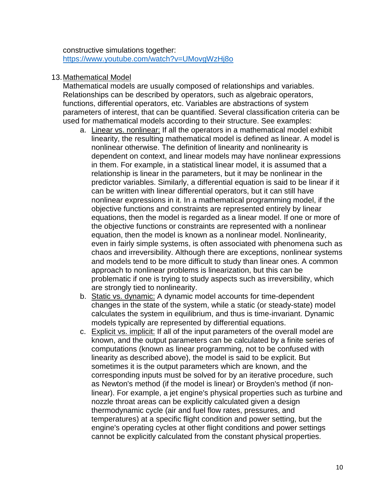constructive simulations together: <https://www.youtube.com/watch?v=UMovgWzHj8o>

#### 13.Mathematical Model

Mathematical models are usually composed of relationships and variables. Relationships can be described by operators, such as algebraic operators, functions, differential operators, etc. Variables are abstractions of system parameters of interest, that can be quantified. Several classification criteria can be used for mathematical models according to their structure. See examples:

- a. Linear vs. nonlinear: If all the operators in a mathematical model exhibit linearity, the resulting mathematical model is defined as linear. A model is nonlinear otherwise. The definition of linearity and nonlinearity is dependent on context, and linear models may have nonlinear expressions in them. For example, in a statistical linear model, it is assumed that a relationship is linear in the parameters, but it may be nonlinear in the predictor variables. Similarly, a differential equation is said to be linear if it can be written with linear differential operators, but it can still have nonlinear expressions in it. In a mathematical programming model, if the objective functions and constraints are represented entirely by linear equations, then the model is regarded as a linear model. If one or more of the objective functions or constraints are represented with a nonlinear equation, then the model is known as a nonlinear model. Nonlinearity, even in fairly simple systems, is often associated with phenomena such as chaos and irreversibility. Although there are exceptions, nonlinear systems and models tend to be more difficult to study than linear ones. A common approach to nonlinear problems is linearization, but this can be problematic if one is trying to study aspects such as irreversibility, which are strongly tied to nonlinearity.
- b. Static vs. dynamic: A dynamic model accounts for time-dependent changes in the state of the system, while a static (or steady-state) model calculates the system in equilibrium, and thus is time-invariant. Dynamic models typically are represented by differential equations.
- c. Explicit vs. implicit: If all of the input parameters of the overall model are known, and the output parameters can be calculated by a finite series of computations (known as linear programming, not to be confused with linearity as described above), the model is said to be explicit. But sometimes it is the output parameters which are known, and the corresponding inputs must be solved for by an iterative procedure, such as Newton's method (if the model is linear) or Broyden's method (if nonlinear). For example, a jet engine's physical properties such as turbine and nozzle throat areas can be explicitly calculated given a design thermodynamic cycle (air and fuel flow rates, pressures, and temperatures) at a specific flight condition and power setting, but the engine's operating cycles at other flight conditions and power settings cannot be explicitly calculated from the constant physical properties.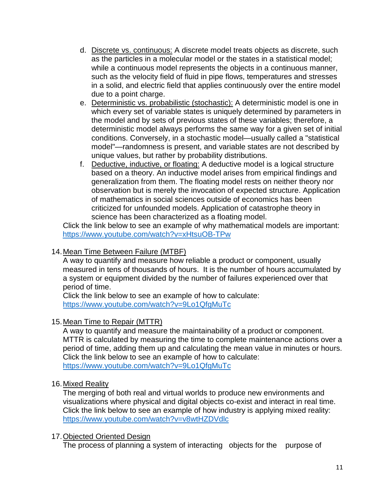- d. Discrete vs. continuous: A discrete model treats objects as discrete, such as the particles in a molecular model or the states in a statistical model; while a continuous model represents the objects in a continuous manner, such as the velocity field of fluid in pipe flows, temperatures and stresses in a solid, and electric field that applies continuously over the entire model due to a point charge.
- e. Deterministic vs. probabilistic (stochastic): A deterministic model is one in which every set of variable states is uniquely determined by parameters in the model and by sets of previous states of these variables; therefore, a deterministic model always performs the same way for a given set of initial conditions. Conversely, in a stochastic model—usually called a "statistical model"—randomness is present, and variable states are not described by unique values, but rather by probability distributions.
- f. Deductive, inductive, or floating: A deductive model is a logical structure based on a theory. An inductive model arises from empirical findings and generalization from them. The floating model rests on neither theory nor observation but is merely the invocation of expected structure. Application of mathematics in social sciences outside of economics has been criticized for unfounded models. Application of catastrophe theory in science has been characterized as a floating model.

Click the link below to see an example of why mathematical models are important: <https://www.youtube.com/watch?v=xHtsuOB-TPw>

### 14.Mean Time Between Failure (MTBF)

A way to quantify and measure how reliable a product or component, usually measured in tens of thousands of hours. It is the number of hours accumulated by a system or equipment divided by the number of failures experienced over that period of time.

Click the link below to see an example of how to calculate: <https://www.youtube.com/watch?v=9Lo1QfgMuTc>

### 15.Mean Time to Repair (MTTR)

A way to quantify and measure the maintainability of a product or component. MTTR is calculated by measuring the time to complete maintenance actions over a period of time, adding them up and calculating the mean value in minutes or hours. Click the link below to see an example of how to calculate: <https://www.youtube.com/watch?v=9Lo1QfgMuTc>

### 16.Mixed Reality

The merging of both real and virtual worlds to produce new environments and visualizations where physical and digital objects co-exist and interact in real time. Click the link below to see an example of how industry is applying mixed reality: <https://www.youtube.com/watch?v=v8wtHZDVdlc>

### 17.Objected Oriented Design

The process of planning a system of interacting objects for the purpose of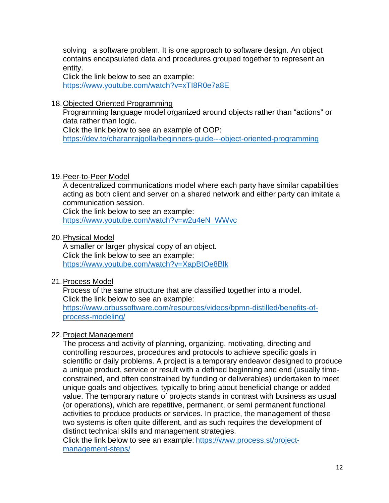solving a software problem. It is one approach to software design. An object contains encapsulated data and procedures grouped together to represent an entity.

Click the link below to see an example: <https://www.youtube.com/watch?v=xTI8R0e7a8E>

18.Objected Oriented Programming

Programming language model organized around objects rather than "actions" or data rather than logic.

Click the link below to see an example of OOP:

<https://dev.to/charanrajgolla/beginners-guide---object-oriented-programming>

### 19.Peer-to-Peer Model

A decentralized communications model where each party have similar capabilities acting as both client and server on a shared network and either party can imitate a communication session.

Click the link below to see an example: [https://www.youtube.com/watch?v=w2u4eN\\_WWvc](https://www.youtube.com/watch?v=w2u4eN_WWvc)

20.Physical Model

A smaller or larger physical copy of an object. Click the link below to see an example: <https://www.youtube.com/watch?v=XapBtOe8Blk>

### 21.Process Model

Process of the same structure that are classified together into a model. Click the link below to see an example:

[https://www.orbussoftware.com/resources/videos/bpmn-distilled/benefits-of](https://www.orbussoftware.com/resources/videos/bpmn-distilled/benefits-of-process-modeling/)[process-modeling/](https://www.orbussoftware.com/resources/videos/bpmn-distilled/benefits-of-process-modeling/)

### 22.Project Management

The process and activity of planning, organizing, motivating, directing and controlling resources, procedures and protocols to achieve specific goals in scientific or daily problems. A project is a temporary endeavor designed to produce a unique product, service or result with a defined beginning and end (usually timeconstrained, and often constrained by funding or deliverables) undertaken to meet unique goals and objectives, typically to bring about beneficial change or added value. The temporary nature of projects stands in contrast with business as usual (or operations), which are repetitive, permanent, or semi permanent functional activities to produce products or services. In practice, the management of these two systems is often quite different, and as such requires the development of distinct technical skills and management strategies.

Click the link below to see an example: [https://www.process.st/project](https://www.process.st/project-management-steps/)[management-steps/](https://www.process.st/project-management-steps/)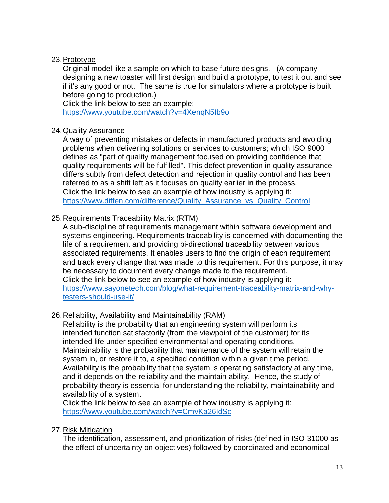### 23.Prototype

Original model like a sample on which to base future designs. (A company designing a new toaster will first design and build a prototype, to test it out and see if it's any good or not. The same is true for simulators where a prototype is built before going to production.)

Click the link below to see an example: <https://www.youtube.com/watch?v=4XenqN5Ib9o>

### 24.Quality Assurance

A way of preventing mistakes or defects in manufactured products and avoiding problems when delivering solutions or services to customers; which ISO 9000 defines as "part of quality management focused on providing confidence that quality requirements will be fulfilled". This defect prevention in quality assurance differs subtly from defect detection and rejection in quality control and has been referred to as a shift left as it focuses on quality earlier in the process. Click the link below to see an example of how industry is applying it: [https://www.diffen.com/difference/Quality\\_Assurance\\_vs\\_Quality\\_Control](https://www.diffen.com/difference/Quality_Assurance_vs_Quality_Control)

### 25.Requirements Traceability Matrix (RTM)

A sub-discipline of requirements management within software development and systems engineering. Requirements traceability is concerned with documenting the life of a requirement and providing bi-directional traceability between various associated requirements. It enables users to find the origin of each requirement and track every change that was made to this requirement. For this purpose, it may be necessary to document every change made to the requirement. Click the link below to see an example of how industry is applying it: [https://www.sayonetech.com/blog/what-requirement-traceability-matrix-and-why](https://www.sayonetech.com/blog/what-requirement-traceability-matrix-and-why-testers-should-use-it/)[testers-should-use-it/](https://www.sayonetech.com/blog/what-requirement-traceability-matrix-and-why-testers-should-use-it/)

### 26.Reliability, Availability and Maintainability (RAM)

Reliability is the probability that an engineering system will perform its intended function satisfactorily (from the viewpoint of the customer) for its intended life under specified environmental and operating conditions. Maintainability is the probability that maintenance of the system will retain the system in, or restore it to, a specified condition within a given time period. Availability is the probability that the system is operating satisfactory at any time, and it depends on the reliability and the maintain ability. Hence, the study of probability theory is essential for understanding the reliability, maintainability and availability of a system.

Click the link below to see an example of how industry is applying it: <https://www.youtube.com/watch?v=CmvKa26IdSc>

### 27.Risk Mitigation

The identification, assessment, and prioritization of risks (defined in ISO 31000 as the effect of uncertainty on objectives) followed by coordinated and economical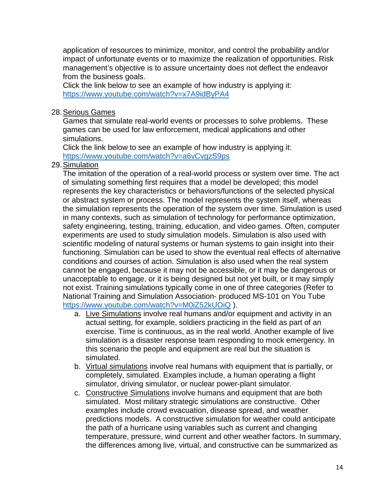application of resources to minimize, monitor, and control the probability and/or impact of unfortunate events or to maximize the realization of opportunities. Risk management's objective is to assure uncertainty does not deflect the endeavor from the business goals.

Click the link below to see an example of how industry is applying it: <https://www.youtube.com/watch?v=x7A9idByPA4>

### 28.Serious Games

Games that simulate real-world events or processes to solve problems. These games can be used for law enforcement, medical applications and other simulations.

Click the link below to see an example of how industry is applying it: <https://www.youtube.com/watch?v=a6vCvgzS9ps>

### 29.Simulation

The imitation of the operation of a real-world process or system over time. The act of simulating something first requires that a model be developed; this model represents the key characteristics or behaviors/functions of the selected physical or abstract system or process. The model represents the system itself, whereas the simulation represents the operation of the system over time. Simulation is used in many contexts, such as simulation of technology for performance optimization, safety engineering, testing, training, education, and video games. Often, computer experiments are used to study simulation models. Simulation is also used with scientific modeling of natural systems or human systems to gain insight into their functioning. Simulation can be used to show the eventual real effects of alternative conditions and courses of action. Simulation is also used when the real system cannot be engaged, because it may not be accessible, or it may be dangerous or unacceptable to engage, or it is being designed but not yet built, or it may simply not exist. Training simulations typically come in one of three categories (Refer to National Training and Simulation Association- produced MS-101 on You Tube <https://www.youtube.com/watch?v=M0iZ52kUOiQ> ).

- a. Live Simulations involve real humans and/or equipment and activity in an actual setting, for example, soldiers practicing in the field as part of an exercise. Time is continuous, as in the real world. Another example of live simulation is a disaster response team responding to mock emergency. In this scenario the people and equipment are real but the situation is simulated.
- b. Virtual simulations involve real humans with equipment that is partially, or completely, simulated. Examples include, a human operating a flight simulator, driving simulator, or nuclear power-plant simulator.
- c. Constructive Simulations involve humans and equipment that are both simulated. Most military strategic simulations are constructive. Other examples include crowd evacuation, disease spread, and weather predictions models. A constructive simulation for weather could anticipate the path of a hurricane using variables such as current and changing temperature, pressure, wind current and other weather factors. In summary, the differences among live, virtual, and constructive can be summarized as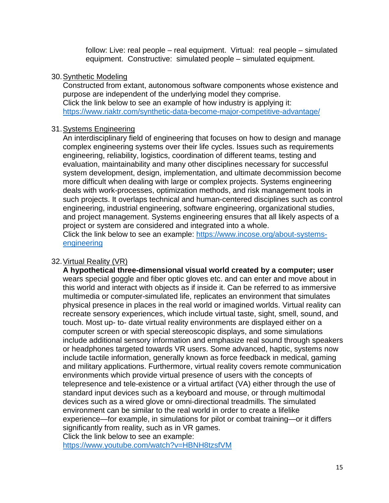follow: Live: real people – real equipment. Virtual: real people – simulated equipment. Constructive: simulated people – simulated equipment.

### 30.Synthetic Modeling

Constructed from extant, autonomous software components whose existence and purpose are independent of the underlying model they comprise. Click the link below to see an example of how industry is applying it: <https://www.riaktr.com/synthetic-data-become-major-competitive-advantage/>

### 31.Systems Engineering

An interdisciplinary field of engineering that focuses on how to design and manage complex engineering systems over their life cycles. Issues such as requirements engineering, reliability, logistics, coordination of different teams, testing and evaluation, maintainability and many other disciplines necessary for successful system development, design, implementation, and ultimate decommission become more difficult when dealing with large or complex projects. Systems engineering deals with work-processes, optimization methods, and risk management tools in such projects. It overlaps technical and human-centered disciplines such as control engineering, industrial engineering, software engineering, organizational studies, and project management. Systems engineering ensures that all likely aspects of a project or system are considered and integrated into a whole.

Click the link below to see an example: [https://www.incose.org/about-systems](https://www.incose.org/about-systems-engineering)[engineering](https://www.incose.org/about-systems-engineering)

### 32.Virtual Reality (VR)

**A hypothetical three-dimensional visual world created by a computer; user** wears special goggle and fiber optic gloves etc. and can enter and move about in this world and interact with objects as if inside it. Can be referred to as immersive multimedia or computer-simulated life, replicates an environment that simulates physical presence in places in the real world or imagined worlds. Virtual reality can recreate sensory experiences, which include virtual taste, sight, smell, sound, and touch. Most up- to- date virtual reality environments are displayed either on a computer screen or with special stereoscopic displays, and some simulations include additional sensory information and emphasize real sound through speakers or headphones targeted towards VR users. Some advanced, haptic, systems now include tactile information, generally known as force feedback in medical, gaming and military applications. Furthermore, virtual reality covers remote communication environments which provide virtual presence of users with the concepts of telepresence and tele-existence or a virtual artifact (VA) either through the use of standard input devices such as a keyboard and mouse, or through multimodal devices such as a wired glove or omni-directional treadmills. The simulated environment can be similar to the real world in order to create a lifelike experience—for example, in simulations for pilot or combat training—or it differs significantly from reality, such as in VR games. Click the link below to see an example:

<https://www.youtube.com/watch?v=HBNH8tzsfVM>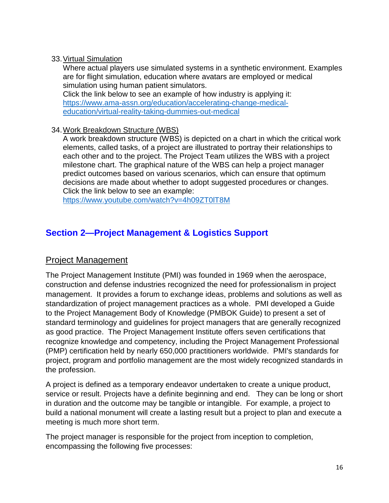### 33.Virtual Simulation

Where actual players use simulated systems in a synthetic environment. Examples are for flight simulation, education where avatars are employed or medical simulation using human patient simulators.

Click the link below to see an example of how industry is applying it: [https://www.ama-assn.org/education/accelerating-change-medical](https://www.ama-assn.org/education/accelerating-change-medical-education/virtual-reality-taking-dummies-out-medical)[education/virtual-reality-taking-dummies-out-medical](https://www.ama-assn.org/education/accelerating-change-medical-education/virtual-reality-taking-dummies-out-medical)

### 34.Work Breakdown Structure (WBS)

A work breakdown structure (WBS) is depicted on a chart in which the critical work elements, called tasks, of a project are illustrated to portray their relationships to each other and to the project. The Project Team utilizes the WBS with a project milestone chart. The graphical nature of the WBS can help a project manager predict outcomes based on various scenarios, which can ensure that optimum decisions are made about whether to adopt suggested procedures or changes. Click the link below to see an example:

<https://www.youtube.com/watch?v=4h09ZT0lT8M>

# **Section 2—Project Management & Logistics Support**

### Project Management

The Project Management Institute (PMI) was founded in 1969 when the aerospace, construction and defense industries recognized the need for professionalism in project management. It provides a forum to exchange ideas, problems and solutions as well as standardization of project management practices as a whole. PMI developed a Guide to the Project Management Body of Knowledge (PMBOK Guide) to present a set of standard terminology and guidelines for project managers that are generally recognized as good practice. The Project Management Institute offers seven certifications that recognize knowledge and competency, including the Project Management Professional (PMP) certification held by nearly 650,000 practitioners worldwide. PMI's standards for project, program and portfolio management are the most widely recognized standards in the profession.

A project is defined as a temporary endeavor undertaken to create a unique product, service or result. Projects have a definite beginning and end. They can be long or short in duration and the outcome may be tangible or intangible. For example, a project to build a national monument will create a lasting result but a project to plan and execute a meeting is much more short term.

The project manager is responsible for the project from inception to completion, encompassing the following five processes: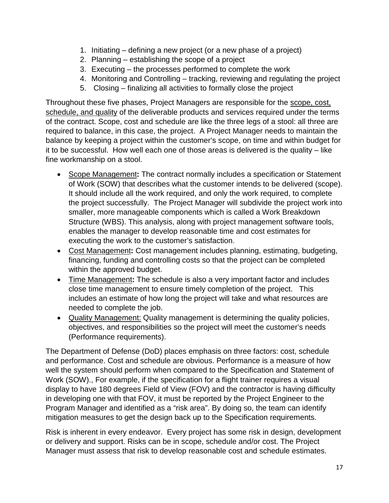- 1. Initiating defining a new project (or a new phase of a project)
- 2. Planning establishing the scope of a project
- 3. Executing the processes performed to complete the work
- 4. Monitoring and Controlling tracking, reviewing and regulating the project
- 5. Closing finalizing all activities to formally close the project

Throughout these five phases, Project Managers are responsible for the scope, cost, schedule, and quality of the deliverable products and services required under the terms of the contract. Scope, cost and schedule are like the three legs of a stool: all three are required to balance, in this case, the project. A Project Manager needs to maintain the balance by keeping a project within the customer's scope, on time and within budget for it to be successful. How well each one of those areas is delivered is the quality – like fine workmanship on a stool.

- Scope Management**:** The contract normally includes a specification or Statement of Work (SOW) that describes what the customer intends to be delivered (scope). It should include all the work required, and only the work required, to complete the project successfully. The Project Manager will subdivide the project work into smaller, more manageable components which is called a Work Breakdown Structure (WBS). This analysis, along with project management software tools, enables the manager to develop reasonable time and cost estimates for executing the work to the customer's satisfaction.
- Cost Management**:** Cost management includes planning, estimating, budgeting, financing, funding and controlling costs so that the project can be completed within the approved budget.
- Time Management**:** The schedule is also a very important factor and includes close time management to ensure timely completion of the project. This includes an estimate of how long the project will take and what resources are needed to complete the job.
- Quality Management: Quality management is determining the quality policies, objectives, and responsibilities so the project will meet the customer's needs (Performance requirements).

The Department of Defense (DoD) places emphasis on three factors: cost, schedule and performance. Cost and schedule are obvious. Performance is a measure of how well the system should perform when compared to the Specification and Statement of Work (SOW)., For example, if the specification for a flight trainer requires a visual display to have 180 degrees Field of View (FOV) and the contractor is having difficulty in developing one with that FOV, it must be reported by the Project Engineer to the Program Manager and identified as a "risk area". By doing so, the team can identify mitigation measures to get the design back up to the Specification requirements.

Risk is inherent in every endeavor. Every project has some risk in design, development or delivery and support. Risks can be in scope, schedule and/or cost. The Project Manager must assess that risk to develop reasonable cost and schedule estimates.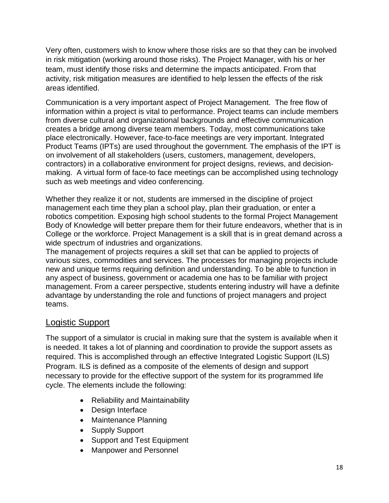Very often, customers wish to know where those risks are so that they can be involved in risk mitigation (working around those risks). The Project Manager, with his or her team, must identify those risks and determine the impacts anticipated. From that activity, risk mitigation measures are identified to help lessen the effects of the risk areas identified.

Communication is a very important aspect of Project Management. The free flow of information within a project is vital to performance. Project teams can include members from diverse cultural and organizational backgrounds and effective communication creates a bridge among diverse team members. Today, most communications take place electronically. However, face-to-face meetings are very important. Integrated Product Teams (IPTs) are used throughout the government. The emphasis of the IPT is on involvement of all stakeholders (users, customers, management, developers, contractors) in a collaborative environment for project designs, reviews, and decisionmaking. A virtual form of face-to face meetings can be accomplished using technology such as web meetings and video conferencing.

Whether they realize it or not, students are immersed in the discipline of project management each time they plan a school play, plan their graduation, or enter a robotics competition. Exposing high school students to the formal Project Management Body of Knowledge will better prepare them for their future endeavors, whether that is in College or the workforce. Project Management is a skill that is in great demand across a wide spectrum of industries and organizations.

The management of projects requires a skill set that can be applied to projects of various sizes, commodities and services. The processes for managing projects include new and unique terms requiring definition and understanding. To be able to function in any aspect of business, government or academia one has to be familiar with project management. From a career perspective, students entering industry will have a definite advantage by understanding the role and functions of project managers and project teams.

### Logistic Support

The support of a simulator is crucial in making sure that the system is available when it is needed. It takes a lot of planning and coordination to provide the support assets as required. This is accomplished through an effective Integrated Logistic Support (ILS) Program. ILS is defined as a composite of the elements of design and support necessary to provide for the effective support of the system for its programmed life cycle. The elements include the following:

- Reliability and Maintainability
- Design Interface
- Maintenance Planning
- Supply Support
- Support and Test Equipment
- Manpower and Personnel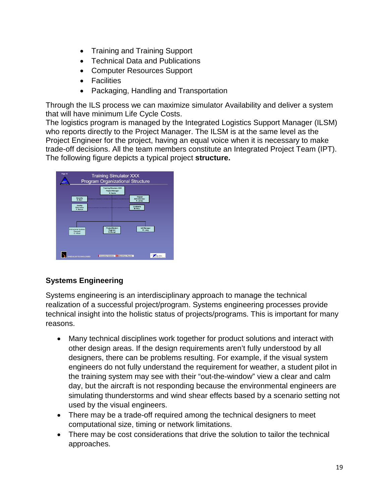- Training and Training Support
- Technical Data and Publications
- Computer Resources Support
- Facilities
- Packaging, Handling and Transportation

Through the ILS process we can maximize simulator Availability and deliver a system that will have minimum Life Cycle Costs.

The logistics program is managed by the Integrated Logistics Support Manager (ILSM) who reports directly to the Project Manager. The ILSM is at the same level as the Project Engineer for the project, having an equal voice when it is necessary to make trade-off decisions. All the team members constitute an Integrated Project Team (IPT). The following figure depicts a typical project **structure.**

| Page 10<br><b>Training Simulator XXX</b><br>Program Organizational Structure<br><b>SEARC</b>                             |
|--------------------------------------------------------------------------------------------------------------------------|
| <b>Training Simulator XXX</b><br><b>Project Manager</b><br>R. Smith                                                      |
| Project<br>Security<br>Administrator<br>M. Barr<br>R. Jones                                                              |
| Quality<br>Contracts<br>Assurance<br>M. Peru<br>P. Remm                                                                  |
|                                                                                                                          |
| Project/System<br><b>ILS Manager</b><br>Instructional Systems<br>M. Lang<br>Engineer<br>Designer<br>K. Dampi<br>D. Mosst |
|                                                                                                                          |
|                                                                                                                          |
| Innovative Solutions<br>Extraordinary Results<br>AEDALUS TECHNOLOGIES                                                    |

### **Systems Engineering**

Systems engineering is an interdisciplinary approach to manage the technical realization of a successful project/program. Systems engineering processes provide technical insight into the holistic status of projects/programs. This is important for many reasons.

- Many technical disciplines work together for product solutions and interact with other design areas. If the design requirements aren't fully understood by all designers, there can be problems resulting. For example, if the visual system engineers do not fully understand the requirement for weather, a student pilot in the training system may see with their "out-the-window" view a clear and calm day, but the aircraft is not responding because the environmental engineers are simulating thunderstorms and wind shear effects based by a scenario setting not used by the visual engineers.
- There may be a trade-off required among the technical designers to meet computational size, timing or network limitations.
- There may be cost considerations that drive the solution to tailor the technical approaches.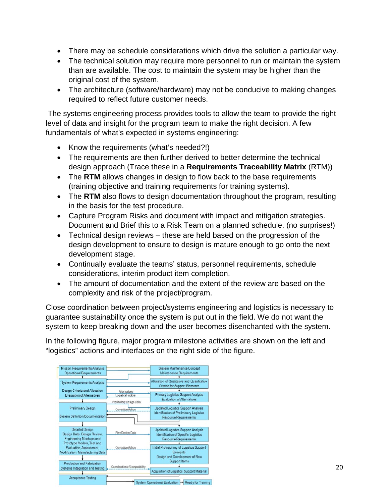- There may be schedule considerations which drive the solution a particular way.
- The technical solution may require more personnel to run or maintain the system than are available. The cost to maintain the system may be higher than the original cost of the system.
- The architecture (software/hardware) may not be conducive to making changes required to reflect future customer needs.

The systems engineering process provides tools to allow the team to provide the right level of data and insight for the program team to make the right decision. A few fundamentals of what's expected in systems engineering:

- Know the requirements (what's needed?!)
- The requirements are then further derived to better determine the technical design approach (Trace these in a **Requirements Traceability Matrix** (RTM))
- The **RTM** allows changes in design to flow back to the base requirements (training objective and training requirements for training systems).
- The **RTM** also flows to design documentation throughout the program, resulting in the basis for the test procedure.
- Capture Program Risks and document with impact and mitigation strategies. Document and Brief this to a Risk Team on a planned schedule. (no surprises!)
- Technical design reviews these are held based on the progression of the design development to ensure to design is mature enough to go onto the next development stage.
- Continually evaluate the teams' status, personnel requirements, schedule considerations, interim product item completion.
- The amount of documentation and the extent of the review are based on the complexity and risk of the project/program.

Close coordination between project/systems engineering and logistics is necessary to guarantee sustainability once the system is put out in the field. We do not want the system to keep breaking down and the user becomes disenchanted with the system.

In the following figure, major program milestone activities are shown on the left and "logistics" actions and interfaces on the right side of the figure.

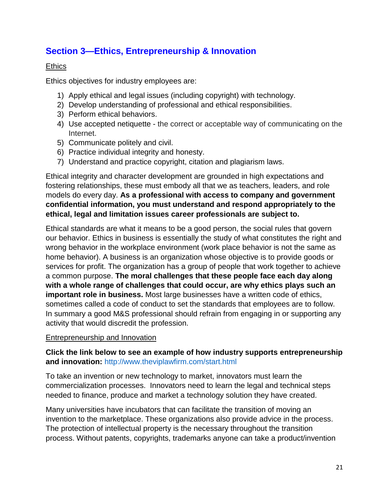## **Section 3—Ethics, Entrepreneurship & Innovation**

### **Ethics**

Ethics objectives for industry employees are:

- 1) Apply ethical and legal issues (including copyright) with technology.
- 2) Develop understanding of professional and ethical responsibilities.
- 3) Perform ethical behaviors.
- 4) Use accepted netiquette the correct or acceptable way of communicating on the Internet.
- 5) Communicate politely and civil.
- 6) Practice individual integrity and honesty.
- 7) Understand and practice copyright, citation and plagiarism laws.

Ethical integrity and character development are grounded in high expectations and fostering relationships, these must embody all that we as teachers, leaders, and role models do every day. **As a professional with access to company and government confidential information, you must understand and respond appropriately to the ethical, legal and limitation issues career professionals are subject to.** 

Ethical standards are what it means to be a good person, the social rules that govern our behavior. Ethics in business is essentially the study of what constitutes the right and wrong behavior in the workplace environment (work place behavior is not the same as home behavior). A business is an organization whose objective is to provide goods or services for profit. The organization has a group of people that work together to achieve a common purpose. **The moral challenges that these people face each day along with a whole range of challenges that could occur, are why ethics plays such an important role in business.** Most large businesses have a written code of ethics, sometimes called a code of conduct to set the standards that employees are to follow. In summary a good M&S professional should refrain from engaging in or supporting any activity that would discredit the profession.

### Entrepreneurship and Innovation

### **Click the link below to see an example of how industry supports entrepreneurship and innovation:** <http://www.theviplawfirm.com/start.html>

To take an invention or new technology to market, innovators must learn the commercialization processes. Innovators need to learn the legal and technical steps needed to finance, produce and market a technology solution they have created.

Many universities have incubators that can facilitate the transition of moving an invention to the marketplace. These organizations also provide advice in the process. The protection of intellectual property is the necessary throughout the transition process. Without patents, copyrights, trademarks anyone can take a product/invention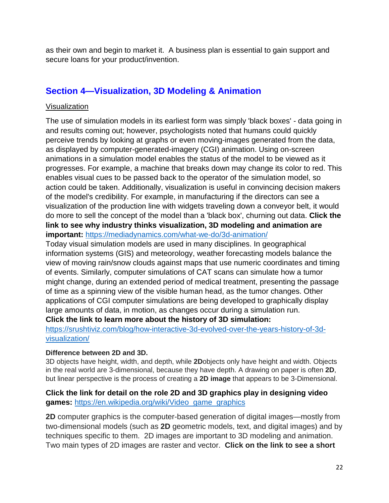as their own and begin to market it. A business plan is essential to gain support and secure loans for your product/invention.

### **Section 4—Visualization, 3D Modeling & Animation**

### Visualization

The use of simulation models in its earliest form was simply 'black boxes' - data going in and results coming out; however, psychologists noted that humans could quickly perceive trends by looking at graphs or even moving-images generated from the data, as displayed by computer-generated-imagery (CGI) animation. Using on-screen animations in a simulation model enables the status of the model to be viewed as it progresses. For example, a machine that breaks down may change its color to red. This enables visual cues to be passed back to the operator of the simulation model, so action could be taken. Additionally, visualization is useful in convincing decision makers of the model's credibility. For example, in manufacturing if the directors can see a visualization of the production line with widgets traveling down a conveyor belt, it would do more to sell the concept of the model than a 'black box', churning out data. **Click the link to see why industry thinks visualization, 3D modeling and animation are** 

**important:** <https://mediadynamics.com/what-we-do/3d-animation/>

Today visual simulation models are used in many disciplines. In geographical information systems (GIS) and meteorology, weather forecasting models balance the view of moving rain/snow clouds against maps that use numeric coordinates and timing of events. Similarly, computer simulations of CAT scans can simulate how a tumor might change, during an extended period of medical treatment, presenting the passage of time as a spinning view of the visible human head, as the tumor changes. Other applications of CGI computer simulations are being developed to graphically display large amounts of data, in motion, as changes occur during a simulation run.

**Click the link to learn more about the history of 3D simulation:**

[https://srushtiviz.com/blog/how-interactive-3d-evolved-over-the-years-history-of-3d](https://srushtiviz.com/blog/how-interactive-3d-evolved-over-the-years-history-of-3d-visualization/)[visualization/](https://srushtiviz.com/blog/how-interactive-3d-evolved-over-the-years-history-of-3d-visualization/)

### **Difference between 2D and 3D.**

3D objects have height, width, and depth, while **2D**objects only have height and width. Objects in the real world are 3-dimensional, because they have depth. A drawing on paper is often **2D**, but linear perspective is the process of creating a **2D image** that appears to be 3-Dimensional.

### **Click the link for detail on the role 2D and 3D graphics play in designing video games:** [https://en.wikipedia.org/wiki/Video\\_game\\_graphics](https://en.wikipedia.org/wiki/Video_game_graphics)

**2D** computer graphics is the computer-based generation of digital images—mostly from two-dimensional models (such as **2D** geometric models, text, and digital images) and by techniques specific to them. 2D images are important to 3D modeling and animation. Two main types of 2D images are raster and vector. **Click on the link to see a short**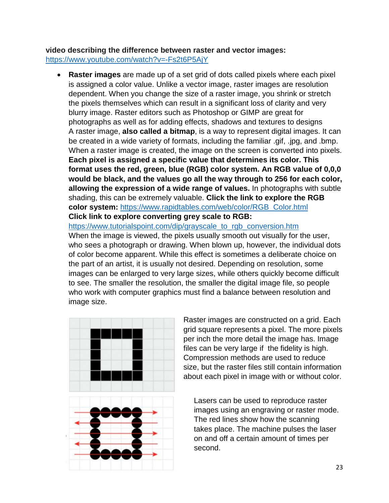**video describing the difference between raster and vector images:** <https://www.youtube.com/watch?v=-Fs2t6P5AjY>

• **Raster images** are made up of a set grid of dots called pixels where each pixel is assigned a color value. Unlike a vector image, raster images are resolution dependent. When you change the size of a raster image, you shrink or stretch the pixels themselves which can result in a significant loss of clarity and very blurry image. Raster editors such as Photoshop or GIMP are great for photographs as well as for adding effects, shadows and textures to designs A raster image, **also called a bitmap**, is a way to represent digital images. It can be created in a wide variety of formats, including the familiar .gif, .jpg, and .bmp. When a raster image is created, the image on the screen is converted into pixels. **Each pixel is assigned a specific value that determines its color. This format uses the red, green, blue (RGB) color system. An RGB value of 0,0,0 would be black, and the values go all the way through to 256 for each color, allowing the expression of a wide range of values.** In photographs with subtle shading, this can be extremely valuable. **Click the link to explore the RGB color system:** [https://www.rapidtables.com/web/color/RGB\\_Color.html](https://www.rapidtables.com/web/color/RGB_Color.html)

**Click link to explore converting grey scale to RGB:**

[https://www.tutorialspoint.com/dip/grayscale\\_to\\_rgb\\_conversion.htm](https://www.tutorialspoint.com/dip/grayscale_to_rgb_conversion.htm) When the image is viewed, the pixels usually smooth out visually for the user, who sees a photograph or drawing. When blown up, however, the individual dots of color become apparent. While this effect is sometimes a deliberate choice on the part of an artist, it is usually not desired. Depending on resolution, some images can be enlarged to very large sizes, while others quickly become difficult to see. The smaller the resolution, the smaller the digital image file, so people who work with computer graphics must find a balance between resolution and image size.



Raster images are constructed on a grid. Each grid square represents a pixel. The more pixels per inch the more detail the image has. Image files can be very large if the fidelity is high. Compression methods are used to reduce size, but the raster files still contain information about each pixel in image with or without color.

 Lasers can be used to reproduce raster images using an engraving or raster mode. The red lines show how the scanning takes place. The machine pulses the laser on and off a certain amount of times per second.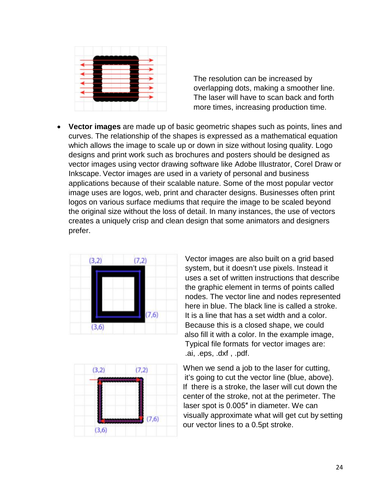

 The resolution can be increased by overlapping dots, making a smoother line. The laser will have to scan back and forth more times, increasing production time.

• **Vector images** are made up of basic geometric shapes such as points, lines and curves. The relationship of the shapes is expressed as a mathematical equation which allows the image to scale up or down in size without losing quality. Logo designs and print work such as brochures and posters should be designed as vector images using vector drawing software like Adobe Illustrator, Corel Draw or Inkscape. Vector images are used in a variety of personal and business applications because of their scalable nature. Some of the most popular vector image uses are logos, web, print and character designs. Businesses often print logos on various surface mediums that require the image to be scaled beyond the original size without the loss of detail. In many instances, the use of vectors creates a uniquely crisp and clean design that some animators and designers prefer.





 Vector images are also built on a grid based system, but it doesn't use pixels. Instead it uses a set of written instructions that describe the graphic element in terms of points called nodes. The vector line and nodes represented here in blue. The black line is called a stroke.<br> **7,6** It is a line that has a set width and a color It is a line that has a set width and a color.  $\overline{(3,6)}$  Because this is a closed shape, we could also fill it with a color. In the example image, Typical file formats for vector images are: .ai, .eps, .dxf , .pdf.

 $(3,2)$   $(7,2)$  When we send a job to the laser for cutting, it's going to cut the vector line (blue, above). If there is a stroke, the laser will cut down the center of the stroke, not at the perimeter. The laser spot is 0.005″ in diameter. We can  $\overline{(7,6)}$  visually approximate what will get cut by setting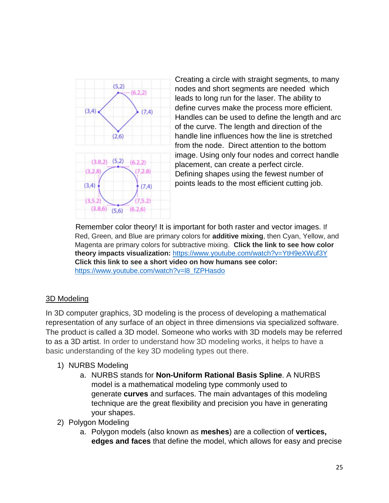

Creating a circle with straight segments, to many<br>nodes and short segments are peoded, which  $(6.2.2)$  nodes and short segments are needed which leads to long run for the laser. The ability to define curves make the process more efficient.  $\frac{1}{(7,4)}$  define curves make the process more emotion.<br>Handles can be used to define the length and arc of the curve. The length and direction of the  $(2,6)$  handle line influences how the line is stretched from the node. Direct attention to the bottom image. Using only four nodes and correct handle placement, can create a perfect circle. Defining shapes using the fewest number of  $(3,4)$   $(7,4)$  points leads to the most efficient cutting job.

 Remember color theory! It is important for both raster and vector images. If Red, Green, and Blue are primary colors for **additive mixing**, then Cyan, Yellow, and Magenta are primary colors for subtractive mixing. **Click the link to see how color theory impacts visualization:** <https://www.youtube.com/watch?v=YtH9eXWuf3Y> **Click this link to see a short video on how humans see color:**  [https://www.youtube.com/watch?v=l8\\_fZPHasdo](https://www.youtube.com/watch?v=l8_fZPHasdo)

### 3D Modeling

In 3D computer graphics, 3D modeling is the process of developing a mathematical representation of any surface of an object in three dimensions via specialized software. The product is called a 3D model. Someone who works with 3D models may be referred to as a 3D artist. In order to understand how 3D modeling works, it helps to have a basic understanding of the key 3D modeling types out there.

### 1) NURBS Modeling

- a. NURBS stands for **Non-Uniform Rational Basis Spline**. A NURBS model is a mathematical modeling type commonly used to generate **curves** and surfaces. The main advantages of this modeling technique are the great flexibility and precision you have in generating your shapes.
- 2) Polygon Modeling
	- a. Polygon models (also known as **meshes**) are a collection of **vertices, edges and faces** that define the model, which allows for easy and precise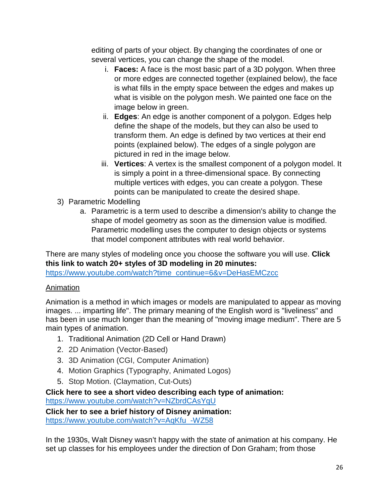editing of parts of your object. By changing the coordinates of one or several vertices, you can change the shape of the model.

- i. **Faces:** A face is the most basic part of a 3D polygon. When three or more edges are connected together (explained below), the face is what fills in the empty space between the edges and makes up what is visible on the polygon mesh. We painted one face on the image below in green.
- ii. **Edges**: An edge is another component of a polygon. Edges help define the shape of the models, but they can also be used to transform them. An edge is defined by two vertices at their end points (explained below). The edges of a single polygon are pictured in red in the image below.
- iii. **Vertices**: A vertex is the smallest component of a polygon model. It is simply a point in a three-dimensional space. By connecting multiple vertices with edges, you can create a polygon. These points can be manipulated to create the desired shape.
- 3) Parametric Modelling
	- a. Parametric is a term used to describe a dimension's ability to change the shape of model geometry as soon as the dimension value is modified. Parametric modelling uses the computer to design objects or systems that model component attributes with real world behavior.

There are many styles of modeling once you choose the software you will use. **Click this link to watch 20+ styles of 3D modeling in 20 minutes:**

[https://www.youtube.com/watch?time\\_continue=6&v=DeHasEMCzcc](https://www.youtube.com/watch?time_continue=6&v=DeHasEMCzcc)

### Animation

Animation is a method in which images or models are manipulated to appear as moving images. ... imparting life". The primary meaning of the English word is "liveliness" and has been in use much longer than the meaning of "moving image medium". There are 5 main types of animation.

- 1. Traditional Animation (2D Cell or Hand Drawn)
- 2. 2D Animation (Vector-Based)
- 3. 3D Animation (CGI, Computer Animation)
- 4. Motion Graphics (Typography, Animated Logos)
- 5. Stop Motion. (Claymation, Cut-Outs)

**Click here to see a short video describing each type of animation:** <https://www.youtube.com/watch?v=NZbrdCAsYqU>

**Click her to see a brief history of Disney animation:** [https://www.youtube.com/watch?v=AqKfu\\_-WZ58](https://www.youtube.com/watch?v=AqKfu_-WZ58)

In the 1930s, Walt Disney wasn't happy with the state of animation at his company. He set up classes for his employees under the direction of Don Graham; from those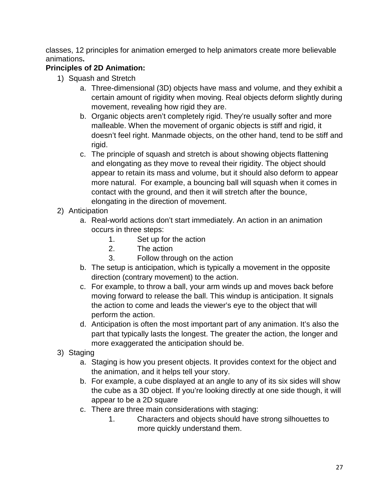classes, 12 principles for animation emerged to help animators create more believable animations**.** 

### **Principles of 2D Animation:**

- 1) Squash and Stretch
	- a. Three-dimensional (3D) objects have mass and volume, and they exhibit a certain amount of rigidity when moving. Real objects deform slightly during movement, revealing how rigid they are.
	- b. Organic objects aren't completely rigid. They're usually softer and more malleable. When the movement of organic objects is stiff and rigid, it doesn't feel right. Manmade objects, on the other hand, tend to be stiff and rigid.
	- c. The principle of squash and stretch is about showing objects flattening and elongating as they move to reveal their rigidity. The object should appear to retain its mass and volume, but it should also deform to appear more natural. For example, a bouncing ball will squash when it comes in contact with the ground, and then it will stretch after the bounce, elongating in the direction of movement.
- 2) Anticipation
	- a. Real-world actions don't start immediately. An action in an animation occurs in three steps:
		- 1. Set up for the action
		- 2. The action
		- 3. Follow through on the action
	- b. The setup is anticipation, which is typically a movement in the opposite direction (contrary movement) to the action.
	- c. For example, to throw a ball, your arm winds up and moves back before moving forward to release the ball. This windup is anticipation. It signals the action to come and leads the viewer's eye to the object that will perform the action.
	- d. Anticipation is often the most important part of any animation. It's also the part that typically lasts the longest. The greater the action, the longer and more exaggerated the anticipation should be.
- 3) Staging
	- a. Staging is how you present objects. It provides context for the object and the animation, and it helps tell your story.
	- b. For example, a cube displayed at an angle to any of its six sides will show the cube as a 3D object. If you're looking directly at one side though, it will appear to be a 2D square
	- c. There are three main considerations with staging:
		- 1. Characters and objects should have strong silhouettes to more quickly understand them.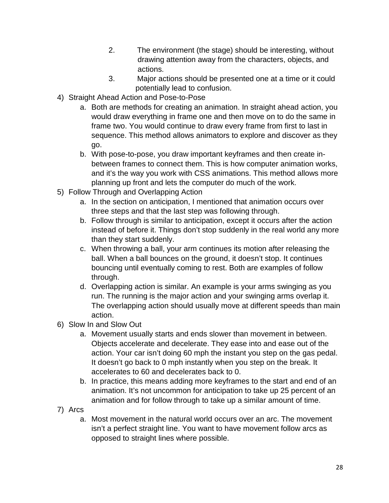- 2. The environment (the stage) should be interesting, without drawing attention away from the characters, objects, and actions.
- 3. Major actions should be presented one at a time or it could potentially lead to confusion.
- 4) Straight Ahead Action and Pose-to-Pose
	- a. Both are methods for creating an animation. In straight ahead action, you would draw everything in frame one and then move on to do the same in frame two. You would continue to draw every frame from first to last in sequence. This method allows animators to explore and discover as they go.
	- b. With pose-to-pose, you draw important keyframes and then create inbetween frames to connect them. This is how computer animation works, and it's the way you work with CSS animations. This method allows more planning up front and lets the computer do much of the work.
- 5) Follow Through and Overlapping Action
	- a. In the section on anticipation, I mentioned that animation occurs over three steps and that the last step was following through.
	- b. Follow through is similar to anticipation, except it occurs after the action instead of before it. Things don't stop suddenly in the real world any more than they start suddenly.
	- c. When throwing a ball, your arm continues its motion after releasing the ball. When a ball bounces on the ground, it doesn't stop. It continues bouncing until eventually coming to rest. Both are examples of follow through.
	- d. Overlapping action is similar. An example is your arms swinging as you run. The running is the major action and your swinging arms overlap it. The overlapping action should usually move at different speeds than main action.
- 6) Slow In and Slow Out
	- a. Movement usually starts and ends slower than movement in between. Objects accelerate and decelerate. They ease into and ease out of the action. Your car isn't doing 60 mph the instant you step on the gas pedal. It doesn't go back to 0 mph instantly when you step on the break. It accelerates to 60 and decelerates back to 0.
	- b. In practice, this means adding more keyframes to the start and end of an animation. It's not uncommon for anticipation to take up 25 percent of an animation and for follow through to take up a similar amount of time.
- 7) Arcs
	- a. Most movement in the natural world occurs over an arc. The movement isn't a perfect straight line. You want to have movement follow arcs as opposed to straight lines where possible.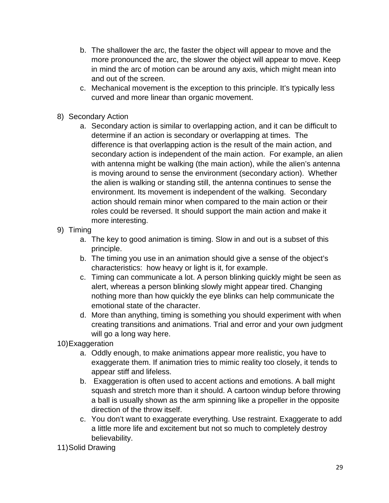- b. The shallower the arc, the faster the object will appear to move and the more pronounced the arc, the slower the object will appear to move. Keep in mind the arc of motion can be around any axis, which might mean into and out of the screen.
- c. Mechanical movement is the exception to this principle. It's typically less curved and more linear than organic movement.
- 8) Secondary Action
	- a. Secondary action is similar to overlapping action, and it can be difficult to determine if an action is secondary or overlapping at times. The difference is that overlapping action is the result of the main action, and secondary action is independent of the main action. For example, an alien with antenna might be walking (the main action), while the alien's antenna is moving around to sense the environment (secondary action). Whether the alien is walking or standing still, the antenna continues to sense the environment. Its movement is independent of the walking. Secondary action should remain minor when compared to the main action or their roles could be reversed. It should support the main action and make it more interesting.
- 9) Timing
	- a. The key to good animation is timing. Slow in and out is a subset of this principle.
	- b. The timing you use in an animation should give a sense of the object's characteristics: how heavy or light is it, for example.
	- c. Timing can communicate a lot. A person blinking quickly might be seen as alert, whereas a person blinking slowly might appear tired. Changing nothing more than how quickly the eye blinks can help communicate the emotional state of the character.
	- d. More than anything, timing is something you should experiment with when creating transitions and animations. Trial and error and your own judgment will go a long way here.
- 10)Exaggeration
	- a. Oddly enough, to make animations appear more realistic, you have to exaggerate them. If animation tries to mimic reality too closely, it tends to appear stiff and lifeless.
	- b. Exaggeration is often used to accent actions and emotions. A ball might squash and stretch more than it should. A cartoon windup before throwing a ball is usually shown as the arm spinning like a propeller in the opposite direction of the throw itself.
	- c. You don't want to exaggerate everything. Use restraint. Exaggerate to add a little more life and excitement but not so much to completely destroy believability.
- 11)Solid Drawing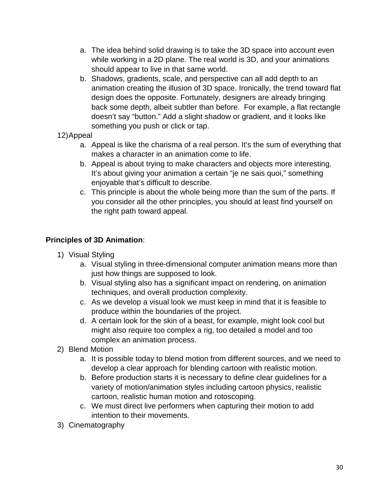- a. The idea behind solid drawing is to take the 3D space into account even while working in a 2D plane. The real world is 3D, and your animations should appear to live in that same world.
- b. Shadows, gradients, scale, and perspective can all add depth to an animation creating the illusion of 3D space. Ironically, the trend toward flat design does the opposite. Fortunately, designers are already bringing back some depth, albeit subtler than before. For example, a flat rectangle doesn't say "button." Add a slight shadow or gradient, and it looks like something you push or click or tap.
- 12)Appeal
	- a. Appeal is like the charisma of a real person. It's the sum of everything that makes a character in an animation come to life.
	- b. Appeal is about trying to make characters and objects more interesting. It's about giving your animation a certain "je ne sais quoi," something enjoyable that's difficult to describe.
	- c. This principle is about the whole being more than the sum of the parts. If you consider all the other principles, you should at least find yourself on the right path toward appeal.

### **Principles of 3D Animation**:

- 1) Visual Styling
	- a. Visual styling in three-dimensional computer animation means more than just how things are supposed to look.
	- b. Visual styling also has a significant impact on rendering, on animation techniques, and overall production complexity.
	- c. As we develop a visual look we must keep in mind that it is feasible to produce within the boundaries of the project.
	- d. A certain look for the skin of a beast, for example, might look cool but might also require too complex a rig, too detailed a model and too complex an animation process.
- 2) Blend Motion
	- a. It is possible today to blend motion from different sources, and we need to develop a clear approach for blending cartoon with realistic motion.
	- b. Before production starts it is necessary to define clear guidelines for a variety of motion/animation styles including cartoon physics, realistic cartoon, realistic human motion and rotoscoping.
	- c. We must direct live performers when capturing their motion to add intention to their movements.
- 3) Cinematography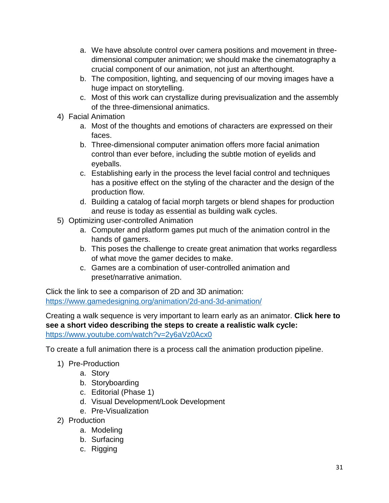- a. We have absolute control over camera positions and movement in threedimensional computer animation; we should make the cinematography a crucial component of our animation, not just an afterthought.
- b. The composition, lighting, and sequencing of our moving images have a huge impact on storytelling.
- c. Most of this work can crystallize during previsualization and the assembly of the three-dimensional animatics.
- 4) Facial Animation
	- a. Most of the thoughts and emotions of characters are expressed on their faces.
	- b. Three-dimensional computer animation offers more facial animation control than ever before, including the subtle motion of eyelids and eyeballs.
	- c. Establishing early in the process the level facial control and techniques has a positive effect on the styling of the character and the design of the production flow.
	- d. Building a catalog of facial morph targets or blend shapes for production and reuse is today as essential as building walk cycles.
- 5) Optimizing user-controlled Animation
	- a. Computer and platform games put much of the animation control in the hands of gamers.
	- b. This poses the challenge to create great animation that works regardless of what move the gamer decides to make.
	- c. Games are a combination of user-controlled animation and preset/narrative animation.

Click the link to see a comparison of 2D and 3D animation: <https://www.gamedesigning.org/animation/2d-and-3d-animation/>

Creating a walk sequence is very important to learn early as an animator. **Click here to see a short video describing the steps to create a realistic walk cycle:** <https://www.youtube.com/watch?v=2y6aVz0Acx0>

To create a full animation there is a process call the animation production pipeline.

- 1) Pre-Production
	- a. Story
	- b. Storyboarding
	- c. Editorial (Phase 1)
	- d. Visual Development/Look Development
	- e. Pre-Visualization
- 2) Production
	- a. Modeling
	- b. Surfacing
	- c. Rigging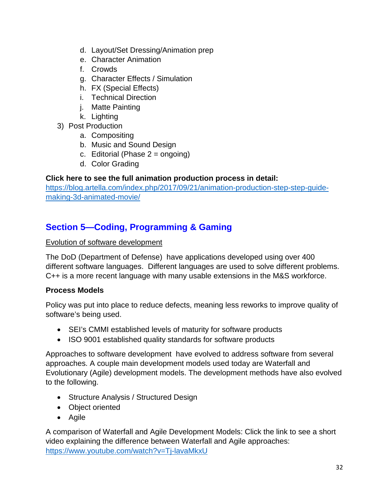- d. Layout/Set Dressing/Animation prep
- e. Character Animation
- f. Crowds
- g. Character Effects / Simulation
- h. FX (Special Effects)
- i. Technical Direction
- j. Matte Painting
- k. Lighting
- 3) Post Production
	- a. Compositing
	- b. Music and Sound Design
	- c. Editorial (Phase  $2 = \text{onqoinq}$ )
	- d. Color Grading

### **Click here to see the full animation production process in detail:**

[https://blog.artella.com/index.php/2017/09/21/animation-production-step-step-guide](https://blog.artella.com/index.php/2017/09/21/animation-production-step-step-guide-making-3d-animated-movie/)[making-3d-animated-movie/](https://blog.artella.com/index.php/2017/09/21/animation-production-step-step-guide-making-3d-animated-movie/)

# **Section 5—Coding, Programming & Gaming**

### Evolution of software development

The DoD (Department of Defense) have applications developed using over 400 different software languages. Different languages are used to solve different problems. C++ is a more recent language with many usable extensions in the M&S workforce.

### **Process Models**

Policy was put into place to reduce defects, meaning less reworks to improve quality of software's being used.

- SEI's CMMI established levels of maturity for software products
- ISO 9001 established quality standards for software products

Approaches to software development have evolved to address software from several approaches. A couple main development models used today are Waterfall and Evolutionary (Agile) development models. The development methods have also evolved to the following.

- Structure Analysis / Structured Design
- Object oriented
- Agile

A comparison of Waterfall and Agile Development Models: Click the link to see a short video explaining the difference between Waterfall and Agile approaches: <https://www.youtube.com/watch?v=Tj-lavaMkxU>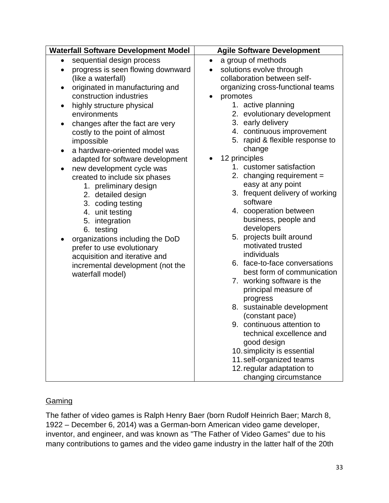### **Gaming**

The father of video games is Ralph Henry Baer (born Rudolf Heinrich Baer; March 8, 1922 – December 6, 2014) was a German-born American video game developer, inventor, and engineer, and was known as "The Father of Video Games" due to his many contributions to games and the video game industry in the latter half of the 20th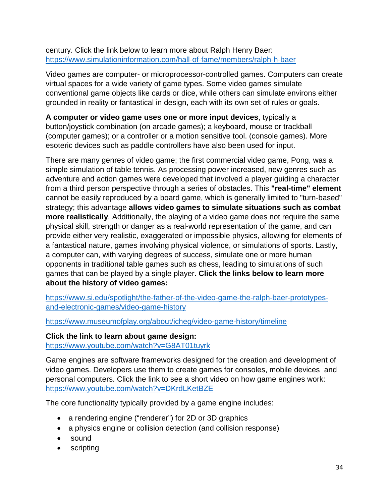century. Click the link below to learn more about Ralph Henry Baer: <https://www.simulationinformation.com/hall-of-fame/members/ralph-h-baer>

Video games are computer- or microprocessor-controlled games. Computers can create virtual spaces for a wide variety of game types. Some video games simulate conventional game objects like cards or dice, while others can simulate environs either grounded in reality or fantastical in design, each with its own set of rules or goals.

**A computer or video game uses one or more input devices**, typically a button/joystick combination (on arcade games); a keyboard, mouse or trackball (computer games); or a controller or a motion sensitive tool. (console games). More esoteric devices such as paddle controllers have also been used for input.

There are many genres of video game; the first commercial video game, Pong, was a simple simulation of table tennis. As processing power increased, new genres such as adventure and action games were developed that involved a player guiding a character from a third person perspective through a series of obstacles. This **"real-time" element** cannot be easily reproduced by a board game, which is generally limited to "turn-based" strategy; this advantage **allows video games to simulate situations such as combat more realistically**. Additionally, the playing of a video game does not require the same physical skill, strength or danger as a real-world representation of the game, and can provide either very realistic, exaggerated or impossible physics, allowing for elements of a fantastical nature, games involving physical violence, or simulations of sports. Lastly, a computer can, with varying degrees of success, simulate one or more human opponents in traditional table games such as chess, leading to simulations of such games that can be played by a single player. **Click the links below to learn more about the history of video games:** 

[https://www.si.edu/spotlight/the-father-of-the-video-game-the-ralph-baer-prototypes](https://www.si.edu/spotlight/the-father-of-the-video-game-the-ralph-baer-prototypes-and-electronic-games/video-game-history)[and-electronic-games/video-game-history](https://www.si.edu/spotlight/the-father-of-the-video-game-the-ralph-baer-prototypes-and-electronic-games/video-game-history) 

<https://www.museumofplay.org/about/icheg/video-game-history/timeline>

**Click the link to learn about game design:** <https://www.youtube.com/watch?v=G8AT01tuyrk>

Game engines are software frameworks designed for the creation and development of video games. Developers use them to create games for consoles, mobile devices and personal computers. Click the link to see a short video on how game engines work: <https://www.youtube.com/watch?v=DKrdLKetBZE>

The core functionality typically provided by a game engine includes:

- a rendering engine ("renderer") for 2D or 3D graphics
- a physics engine or collision detection (and collision response)
- sound
- scripting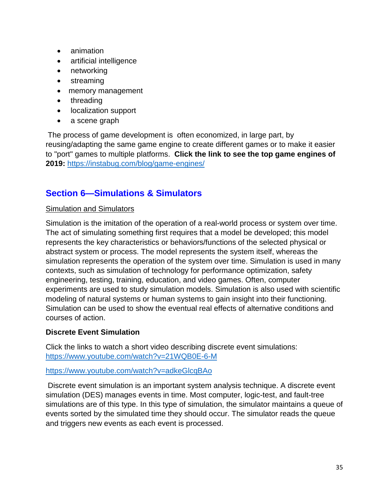- animation
- artificial intelligence
- networking
- streaming
- memory management
- threading
- localization support
- a scene graph

The process of game development is often economized, in large part, by reusing/adapting the same game engine to create different games or to make it easier to "port" games to multiple platforms. **Click the link to see the top game engines of 2019:** <https://instabug.com/blog/game-engines/>

### **Section 6—Simulations & Simulators**

### Simulation and Simulators

Simulation is the imitation of the operation of a real-world process or system over time. The act of simulating something first requires that a model be developed; this model represents the key characteristics or behaviors/functions of the selected physical or abstract system or process. The model represents the system itself, whereas the simulation represents the operation of the system over time. Simulation is used in many contexts, such as simulation of technology for performance optimization, safety engineering, testing, training, education, and video games. Often, computer experiments are used to study simulation models. Simulation is also used with scientific modeling of natural systems or human systems to gain insight into their functioning. Simulation can be used to show the eventual real effects of alternative conditions and courses of action.

### **Discrete Event Simulation**

Click the links to watch a short video describing discrete event simulations: <https://www.youtube.com/watch?v=21WQB0E-6-M>

### <https://www.youtube.com/watch?v=adkeGlcqBAo>

Discrete event simulation is an important system analysis technique. A discrete event simulation (DES) manages events in time. Most computer, logic-test, and fault-tree simulations are of this type. In this type of simulation, the simulator maintains a queue of events sorted by the simulated time they should occur. The simulator reads the queue and triggers new events as each event is processed.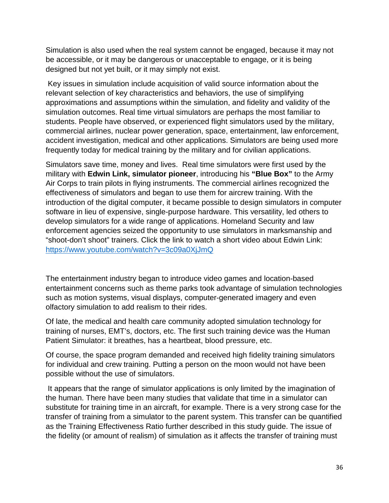Simulation is also used when the real system cannot be engaged, because it may not be accessible, or it may be dangerous or unacceptable to engage, or it is being designed but not yet built, or it may simply not exist.

Key issues in simulation include acquisition of valid source information about the relevant selection of key characteristics and behaviors, the use of simplifying approximations and assumptions within the simulation, and fidelity and validity of the simulation outcomes. Real time virtual simulators are perhaps the most familiar to students. People have observed, or experienced flight simulators used by the military, commercial airlines, nuclear power generation, space, entertainment, law enforcement, accident investigation, medical and other applications. Simulators are being used more frequently today for medical training by the military and for civilian applications.

Simulators save time, money and lives. Real time simulators were first used by the military with **Edwin Link, simulator pioneer**, introducing his **"Blue Box"** to the Army Air Corps to train pilots in flying instruments. The commercial airlines recognized the effectiveness of simulators and began to use them for aircrew training. With the introduction of the digital computer, it became possible to design simulators in computer software in lieu of expensive, single-purpose hardware. This versatility, led others to develop simulators for a wide range of applications. Homeland Security and law enforcement agencies seized the opportunity to use simulators in marksmanship and "shoot-don't shoot" trainers. Click the link to watch a short video about Edwin Link: <https://www.youtube.com/watch?v=3c09a0XjJmQ>

The entertainment industry began to introduce video games and location-based entertainment concerns such as theme parks took advantage of simulation technologies such as motion systems, visual displays, computer-generated imagery and even olfactory simulation to add realism to their rides.

Of late, the medical and health care community adopted simulation technology for training of nurses, EMT's, doctors, etc. The first such training device was the Human Patient Simulator: it breathes, has a heartbeat, blood pressure, etc.

Of course, the space program demanded and received high fidelity training simulators for individual and crew training. Putting a person on the moon would not have been possible without the use of simulators.

It appears that the range of simulator applications is only limited by the imagination of the human. There have been many studies that validate that time in a simulator can substitute for training time in an aircraft, for example. There is a very strong case for the transfer of training from a simulator to the parent system. This transfer can be quantified as the Training Effectiveness Ratio further described in this study guide. The issue of the fidelity (or amount of realism) of simulation as it affects the transfer of training must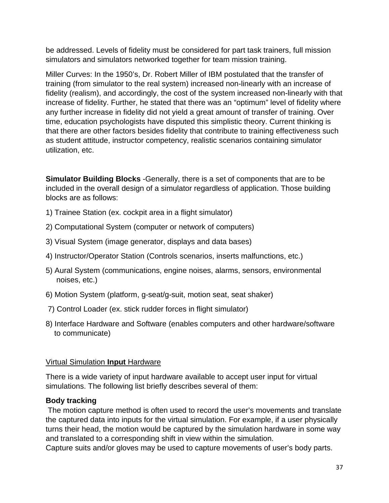be addressed. Levels of fidelity must be considered for part task trainers, full mission simulators and simulators networked together for team mission training.

Miller Curves: In the 1950's, Dr. Robert Miller of IBM postulated that the transfer of training (from simulator to the real system) increased non-linearly with an increase of fidelity (realism), and accordingly, the cost of the system increased non-linearly with that increase of fidelity. Further, he stated that there was an "optimum" level of fidelity where any further increase in fidelity did not yield a great amount of transfer of training. Over time, education psychologists have disputed this simplistic theory. Current thinking is that there are other factors besides fidelity that contribute to training effectiveness such as student attitude, instructor competency, realistic scenarios containing simulator utilization, etc.

**Simulator Building Blocks** -Generally, there is a set of components that are to be included in the overall design of a simulator regardless of application. Those building blocks are as follows:

- 1) Trainee Station (ex. cockpit area in a flight simulator)
- 2) Computational System (computer or network of computers)
- 3) Visual System (image generator, displays and data bases)
- 4) Instructor/Operator Station (Controls scenarios, inserts malfunctions, etc.)
- 5) Aural System (communications, engine noises, alarms, sensors, environmental noises, etc.)
- 6) Motion System (platform, g-seat/g-suit, motion seat, seat shaker)
- 7) Control Loader (ex. stick rudder forces in flight simulator)
- 8) Interface Hardware and Software (enables computers and other hardware/software to communicate)

### Virtual Simulation **Input** Hardware

There is a wide variety of input hardware available to accept user input for virtual simulations. The following list briefly describes several of them:

### **Body tracking**

The motion capture method is often used to record the user's movements and translate the captured data into inputs for the virtual simulation. For example, if a user physically turns their head, the motion would be captured by the simulation hardware in some way and translated to a corresponding shift in view within the simulation.

Capture suits and/or gloves may be used to capture movements of user's body parts.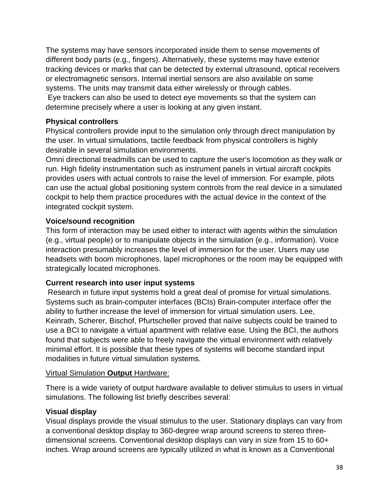The systems may have sensors incorporated inside them to sense movements of different body parts (e.g., fingers). Alternatively, these systems may have exterior tracking devices or marks that can be detected by external ultrasound, optical receivers or electromagnetic sensors. Internal inertial sensors are also available on some systems. The units may transmit data either wirelessly or through cables.

Eye trackers can also be used to detect eye movements so that the system can determine precisely where a user is looking at any given instant.

### **Physical controllers**

Physical controllers provide input to the simulation only through direct manipulation by the user. In virtual simulations, tactile feedback from physical controllers is highly desirable in several simulation environments.

Omni directional treadmills can be used to capture the user's locomotion as they walk or run. High fidelity instrumentation such as instrument panels in virtual aircraft cockpits provides users with actual controls to raise the level of immersion. For example, pilots can use the actual global positioning system controls from the real device in a simulated cockpit to help them practice procedures with the actual device in the context of the integrated cockpit system.

### **Voice/sound recognition**

This form of interaction may be used either to interact with agents within the simulation (e.g., virtual people) or to manipulate objects in the simulation (e.g., information). Voice interaction presumably increases the level of immersion for the user. Users may use headsets with boom microphones, lapel microphones or the room may be equipped with strategically located microphones.

### **Current research into user input systems**

Research in future input systems hold a great deal of promise for virtual simulations. Systems such as brain-computer interfaces (BCIs) Brain-computer interface offer the ability to further increase the level of immersion for virtual simulation users. Lee, Keinrath, Scherer, Bischof, Pfurtscheller proved that naïve subjects could be trained to use a BCI to navigate a virtual apartment with relative ease. Using the BCI, the authors found that subjects were able to freely navigate the virtual environment with relatively minimal effort. It is possible that these types of systems will become standard input modalities in future virtual simulation systems.

### Virtual Simulation **Output** Hardware:

There is a wide variety of output hardware available to deliver stimulus to users in virtual simulations. The following list briefly describes several:

### **Visual display**

Visual displays provide the visual stimulus to the user. Stationary displays can vary from a conventional desktop display to 360-degree wrap around screens to stereo threedimensional screens. Conventional desktop displays can vary in size from 15 to 60+ inches. Wrap around screens are typically utilized in what is known as a Conventional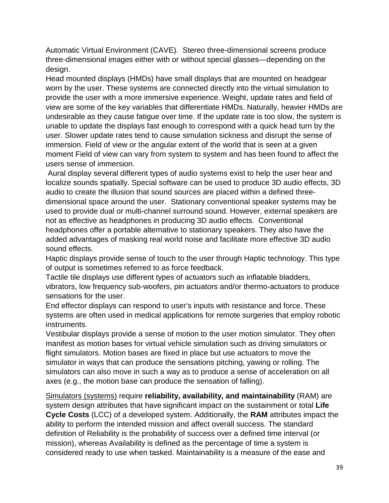Automatic Virtual Environment (CAVE). Stereo three-dimensional screens produce three-dimensional images either with or without special glasses—depending on the design.

Head mounted displays (HMDs) have small displays that are mounted on headgear worn by the user. These systems are connected directly into the virtual simulation to provide the user with a more immersive experience. Weight, update rates and field of view are some of the key variables that differentiate HMDs. Naturally, heavier HMDs are undesirable as they cause fatigue over time. If the update rate is too slow, the system is unable to update the displays fast enough to correspond with a quick head turn by the user. Slower update rates tend to cause simulation sickness and disrupt the sense of immersion. Field of view or the angular extent of the world that is seen at a given moment Field of view can vary from system to system and has been found to affect the users sense of immersion.

Aural display several different types of audio systems exist to help the user hear and localize sounds spatially. Special software can be used to produce 3D audio effects, 3D audio to create the illusion that sound sources are placed within a defined threedimensional space around the user. Stationary conventional speaker systems may be used to provide dual or multi-channel surround sound. However, external speakers are not as effective as headphones in producing 3D audio effects. Conventional headphones offer a portable alternative to stationary speakers. They also have the added advantages of masking real world noise and facilitate more effective 3D audio sound effects.

Haptic displays provide sense of touch to the user through Haptic technology. This type of output is sometimes referred to as force feedback.

Tactile tile displays use different types of actuators such as inflatable bladders, vibrators, low frequency sub-woofers, pin actuators and/or thermo-actuators to produce sensations for the user.

End effector displays can respond to user's inputs with resistance and force. These systems are often used in medical applications for remote surgeries that employ robotic instruments.

Vestibular displays provide a sense of motion to the user motion simulator. They often manifest as motion bases for virtual vehicle simulation such as driving simulators or flight simulators. Motion bases are fixed in place but use actuators to move the simulator in ways that can produce the sensations pitching, yawing or rolling. The simulators can also move in such a way as to produce a sense of acceleration on all axes (e.g., the motion base can produce the sensation of falling).

Simulators (systems) require **reliability, availability, and maintainability** (RAM) are system design attributes that have significant impact on the sustainment or total **Life Cycle Costs** (LCC) of a developed system. Additionally, the **RAM** attributes impact the ability to perform the intended mission and affect overall success. The standard definition of Reliability is the probability of success over a defined time interval (or mission), whereas Availability is defined as the percentage of time a system is considered ready to use when tasked. Maintainability is a measure of the ease and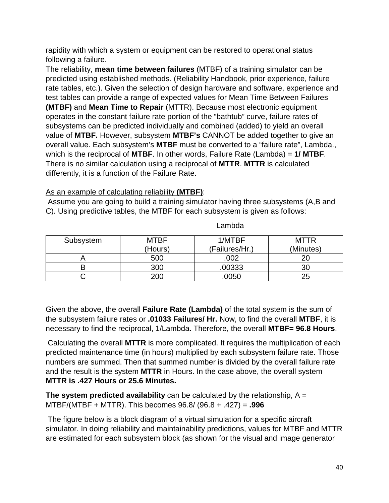rapidity with which a system or equipment can be restored to operational status following a failure.

The reliability, **mean time between failures** (MTBF) of a training simulator can be predicted using established methods. (Reliability Handbook, prior experience, failure rate tables, etc.). Given the selection of design hardware and software, experience and test tables can provide a range of expected values for Mean Time Between Failures **(MTBF)** and **Mean Time to Repair** (MTTR). Because most electronic equipment operates in the constant failure rate portion of the "bathtub" curve, failure rates of subsystems can be predicted individually and combined (added) to yield an overall value of **MTBF.** However, subsystem **MTBF's** CANNOT be added together to give an overall value. Each subsystem's **MTBF** must be converted to a "failure rate", Lambda., which is the reciprocal of **MTBF**. In other words, Failure Rate (Lambda) = **1/ MTBF**. There is no similar calculation using a reciprocal of **MTTR**. **MTTR** is calculated differently, it is a function of the Failure Rate.

As an example of calculating reliability **(MTBF)**:

Assume you are going to build a training simulator having three subsystems (A,B and C). Using predictive tables, the MTBF for each subsystem is given as follows:

| Subsystem | <b>MTBF</b> | 1/MTBF         | <b>MTTR</b> |
|-----------|-------------|----------------|-------------|
|           | (Hours)     | (Failures/Hr.) | (Minutes)   |
|           | 500         | .002           |             |
|           | 300         | .00333         |             |
|           | 200         | .0050          | 25          |

Lambda

Given the above, the overall **Failure Rate (Lambda)** of the total system is the sum of the subsystem failure rates or **.01033 Failures/ Hr.** Now, to find the overall **MTBF**, it is necessary to find the reciprocal, 1/Lambda. Therefore, the overall **MTBF= 96.8 Hours**.

Calculating the overall **MTTR** is more complicated. It requires the multiplication of each predicted maintenance time (in hours) multiplied by each subsystem failure rate. Those numbers are summed. Then that summed number is divided by the overall failure rate and the result is the system **MTTR** in Hours. In the case above, the overall system **MTTR is .427 Hours or 25.6 Minutes.** 

**The system predicted availability** can be calculated by the relationship, A = MTBF/(MTBF + MTTR). This becomes 96.8/ (96.8 + .427) = **.996**

The figure below is a block diagram of a virtual simulation for a specific aircraft simulator. In doing reliability and maintainability predictions, values for MTBF and MTTR are estimated for each subsystem block (as shown for the visual and image generator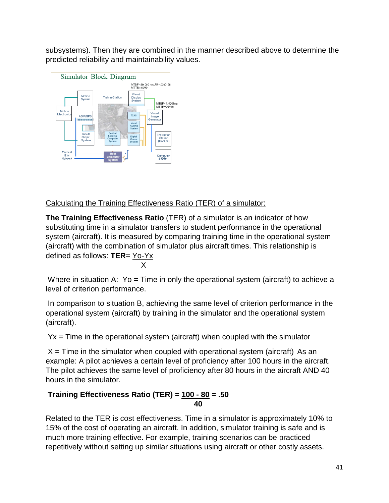subsystems). Then they are combined in the manner described above to determine the predicted reliability and maintainability values.



Calculating the Training Effectiveness Ratio (TER) of a simulator:

**The Training Effectiveness Ratio** (TER) of a simulator is an indicator of how substituting time in a simulator transfers to student performance in the operational system (aircraft). It is measured by comparing training time in the operational system (aircraft) with the combination of simulator plus aircraft times. This relationship is defined as follows: **TER**= Yo-Yx X

Where in situation A:  $Yo = Time$  in only the operational system (aircraft) to achieve a level of criterion performance.

In comparison to situation B, achieving the same level of criterion performance in the operational system (aircraft) by training in the simulator and the operational system (aircraft).

 $Yx = Time$  in the operational system (aircraft) when coupled with the simulator

 $X =$  Time in the simulator when coupled with operational system (aircraft) As an example: A pilot achieves a certain level of proficiency after 100 hours in the aircraft. The pilot achieves the same level of proficiency after 80 hours in the aircraft AND 40 hours in the simulator.

### **Training Effectiveness Ratio (TER) = 100 - 80 = .50 40**

Related to the TER is cost effectiveness. Time in a simulator is approximately 10% to 15% of the cost of operating an aircraft. In addition, simulator training is safe and is much more training effective. For example, training scenarios can be practiced repetitively without setting up similar situations using aircraft or other costly assets.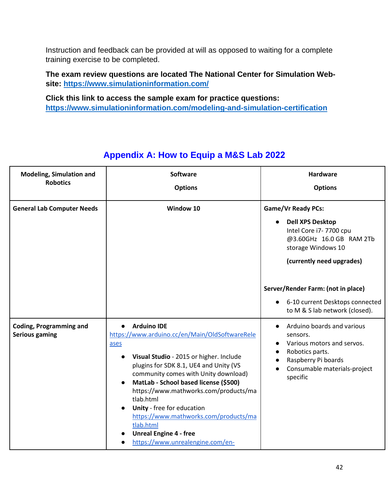Instruction and feedback can be provided at will as opposed to waiting for a complete training exercise to be completed.

**The exam review questions are located The National Center for Simulation Website:<https://www.simulationinformation.com/>**

**Click this link to access the sample exam for practice questions: <https://www.simulationinformation.com/modeling-and-simulation-certification>**

| <b>Modeling, Simulation and</b><br><b>Robotics</b>      | <b>Software</b><br><b>Options</b>                                                                                                                                                                                                                                                                                                                                                                                                                                                           | <b>Hardware</b><br><b>Options</b>                                                                                                                                       |
|---------------------------------------------------------|---------------------------------------------------------------------------------------------------------------------------------------------------------------------------------------------------------------------------------------------------------------------------------------------------------------------------------------------------------------------------------------------------------------------------------------------------------------------------------------------|-------------------------------------------------------------------------------------------------------------------------------------------------------------------------|
| <b>General Lab Computer Needs</b>                       | Window 10                                                                                                                                                                                                                                                                                                                                                                                                                                                                                   | <b>Game/Vr Ready PCs:</b><br><b>Dell XPS Desktop</b><br>Intel Core i7-7700 cpu<br>@3.60GHz 16.0 GB RAM 2Tb<br>storage Windows 10<br>(currently need upgrades)           |
|                                                         |                                                                                                                                                                                                                                                                                                                                                                                                                                                                                             | Server/Render Farm: (not in place)<br>6-10 current Desktops connected<br>$\bullet$<br>to M & S lab network (closed).                                                    |
| <b>Coding, Programming and</b><br><b>Serious gaming</b> | <b>Arduino IDE</b><br>$\bullet$<br>https://www.arduino.cc/en/Main/OldSoftwareRele<br>ases<br>Visual Studio - 2015 or higher. Include<br>$\bullet$<br>plugins for SDK 8.1, UE4 and Unity (VS<br>community comes with Unity download)<br>MatLab - School based license (\$500)<br>https://www.mathworks.com/products/ma<br>tlab.html<br>Unity - free for education<br>https://www.mathworks.com/products/ma<br>tlab.html<br><b>Unreal Engine 4 - free</b><br>https://www.unrealengine.com/en- | Arduino boards and various<br>$\bullet$<br>sensors.<br>Various motors and servos.<br>Robotics parts.<br>Raspberry Pi boards<br>Consumable materials-project<br>specific |

# **Appendix A: How to Equip a M&S Lab 2022**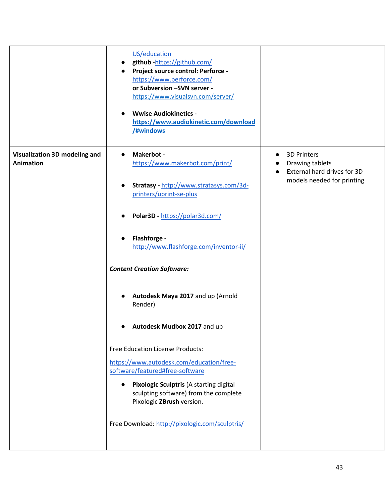|                                                          | US/education<br>github-https://github.com/<br>Project source control: Perforce -<br>https://www.perforce.com/<br>or Subversion -SVN server -<br>https://www.visualsvn.com/server/<br><b>Wwise Audiokinetics -</b><br>https://www.audiokinetic.com/download<br>/#windows                                                                                                                                                                                                                                                                                                           |                                                                                                                              |
|----------------------------------------------------------|-----------------------------------------------------------------------------------------------------------------------------------------------------------------------------------------------------------------------------------------------------------------------------------------------------------------------------------------------------------------------------------------------------------------------------------------------------------------------------------------------------------------------------------------------------------------------------------|------------------------------------------------------------------------------------------------------------------------------|
| <b>Visualization 3D modeling and</b><br><b>Animation</b> | Makerbot -<br>$\bullet$<br>https://www.makerbot.com/print/<br>Stratasy - http://www.stratasys.com/3d-<br>$\bullet$<br>printers/uprint-se-plus<br>Polar3D - https://polar3d.com/<br>Flashforge -<br>http://www.flashforge.com/inventor-ii/<br><b>Content Creation Software:</b><br>Autodesk Maya 2017 and up (Arnold<br>Render)<br>Autodesk Mudbox 2017 and up<br>Free Education License Products:<br>https://www.autodesk.com/education/free-<br>software/featured#free-software<br>Pixologic Sculptris (A starting digital<br>$\bullet$<br>sculpting software) from the complete | <b>3D Printers</b><br>$\bullet$<br>Drawing tablets<br>External hard drives for 3D<br>$\bullet$<br>models needed for printing |
|                                                          | Pixologic ZBrush version.<br>Free Download: http://pixologic.com/sculptris/                                                                                                                                                                                                                                                                                                                                                                                                                                                                                                       |                                                                                                                              |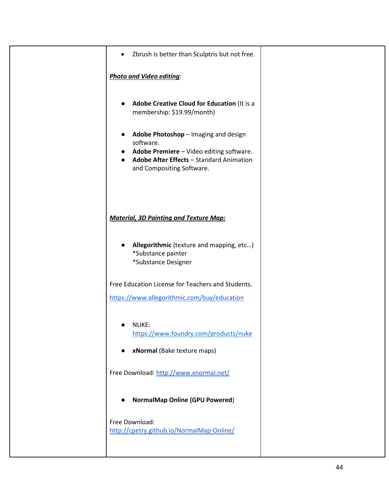| Zbrush is better than Sculptris but not free.<br>$\bullet$                                                                                                             |  |
|------------------------------------------------------------------------------------------------------------------------------------------------------------------------|--|
| <b>Photo and Video editing:</b>                                                                                                                                        |  |
| Adobe Creative Cloud for Education (It is a<br>membership: \$19.99/month)                                                                                              |  |
| Adobe Photoshop - Imaging and design<br>software.<br>Adobe Premiere - Video editing software.<br>Adobe After Effects - Standard Animation<br>and Compositing Software. |  |
| <b>Material, 3D Painting and Texture Map:</b>                                                                                                                          |  |
| Allegorithmic (texture and mapping, etc)<br>*Substance painter<br>*Substance Designer                                                                                  |  |
| Free Education License for Teachers and Students.<br>https://www.allegorithmic.com/buy/education                                                                       |  |
| NUKE:<br>https://www.foundry.com/products/nuke<br>xNormal (Bake texture maps)                                                                                          |  |
| Free Download: http://www.xnormal.net/                                                                                                                                 |  |
| <b>NormalMap Online (GPU Powered)</b>                                                                                                                                  |  |
| Free Download:<br>http://cpetry.github.io/NormalMap-Online/                                                                                                            |  |
|                                                                                                                                                                        |  |

44